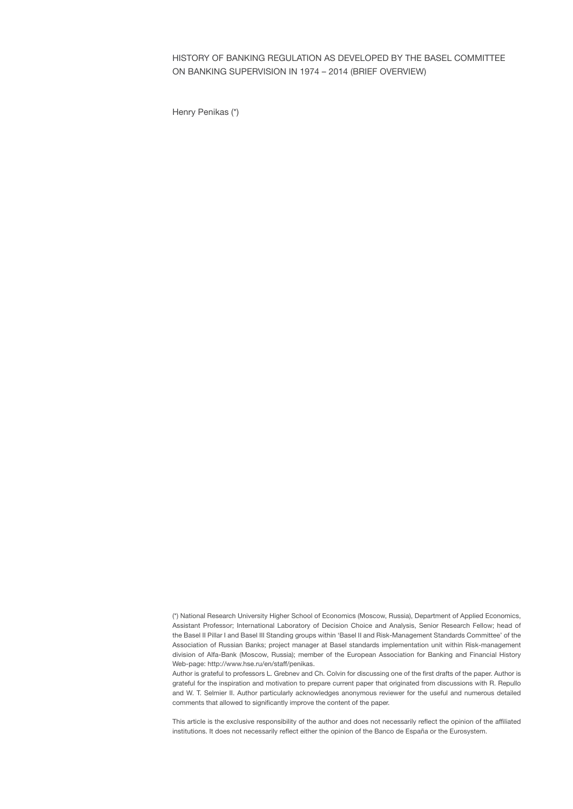HISTORY OF BANKING REGULATION AS DEVELOPED BY THE BASEL COMMITTEE ON BANKING SUPERVISION IN 1974 – 2014 (BRIEF OVERVIEW)

Henry Penikas (\*)

<sup>(\*)</sup> National Research University Higher School of Economics (Moscow, Russia), Department of Applied Economics, Assistant Professor; International Laboratory of Decision Choice and Analysis, Senior Research Fellow; head of the Basel II Pillar I and Basel III Standing groups within 'Basel II and Risk-Management Standards Committee' of the Association of Russian Banks; project manager at Basel standards implementation unit within Risk-management division of Alfa-Bank (Moscow, Russia); member of the European Association for Banking and Financial History Web-page: http://www.hse.ru/en/staff/penikas.

Author is grateful to professors L. Grebnev and Ch. Colvin for discussing one of the first drafts of the paper. Author is grateful for the inspiration and motivation to prepare current paper that originated from discussions with R. Repullo and W. T. Selmier II. Author particularly acknowledges anonymous reviewer for the useful and numerous detailed comments that allowed to significantly improve the content of the paper.

This article is the exclusive responsibility of the author and does not necessarily reflect the opinion of the affiliated institutions. It does not necessarily reflect either the opinion of the Banco de España or the Eurosystem.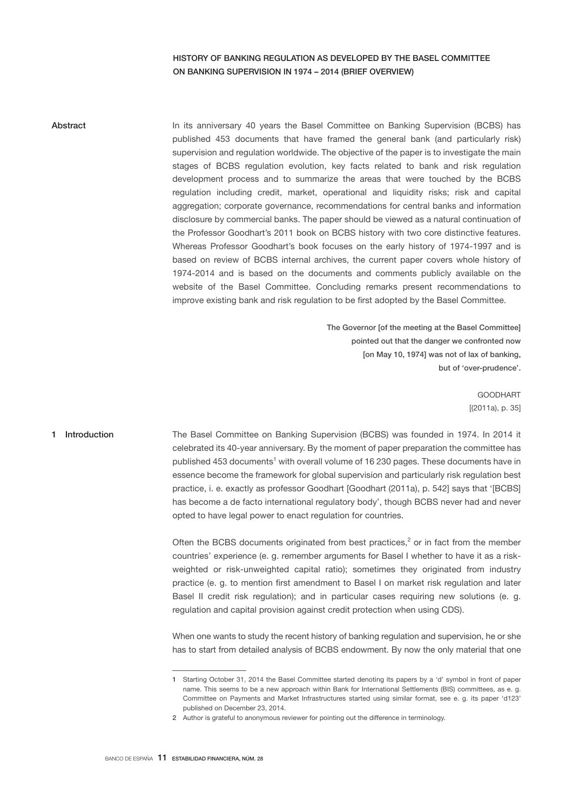# HISTORY OF BANKING REGULATION AS DEVELOPED BY THE BASEL COMMITTEE ON BANKING SUPERVISION IN 1974 – 2014 (BRIEF OVERVIEW)

## **Abstract**

In its anniversary 40 years the Basel Committee on Banking Supervision (BCBS) has published 453 documents that have framed the general bank (and particularly risk) supervision and regulation worldwide. The objective of the paper is to investigate the main stages of BCBS regulation evolution, key facts related to bank and risk regulation development process and to summarize the areas that were touched by the BCBS regulation including credit, market, operational and liquidity risks; risk and capital aggregation; corporate governance, recommendations for central banks and information disclosure by commercial banks. The paper should be viewed as a natural continuation of the Professor Goodhart's 2011 book on BCBS history with two core distinctive features. Whereas Professor Goodhart's book focuses on the early history of 1974-1997 and is based on review of BCBS internal archives, the current paper covers whole history of 1974-2014 and is based on the documents and comments publicly available on the website of the Basel Committee. Concluding remarks present recommendations to improve existing bank and risk regulation to be first adopted by the Basel Committee.

> The Governor [of the meeting at the Basel Committee] pointed out that the danger we confronted now [on May 10, 1974] was not of lax of banking, but of 'over-prudence'.

> > GOODHART [(2011a), p. 35]

### 1 Introduction

The Basel Committee on Banking Supervision (BCBS) was founded in 1974. In 2014 it celebrated its 40-year anniversary. By the moment of paper preparation the committee has published 453 documents<sup>1</sup> with overall volume of 16 230 pages. These documents have in essence become the framework for global supervision and particularly risk regulation best practice, i. e. exactly as professor Goodhart [Goodhart (2011a), p. 542] says that '[BCBS] has become a de facto international regulatory body', though BCBS never had and never opted to have legal power to enact regulation for countries.

Often the BCBS documents originated from best practices, $2$  or in fact from the member countries' experience (e. g. remember arguments for Basel I whether to have it as a riskweighted or risk-unweighted capital ratio); sometimes they originated from industry practice (e. g. to mention first amendment to Basel I on market risk regulation and later Basel II credit risk regulation); and in particular cases requiring new solutions (e. g. regulation and capital provision against credit protection when using CDS).

When one wants to study the recent history of banking regulation and supervision, he or she has to start from detailed analysis of BCBS endowment. By now the only material that one

<sup>1</sup> Starting October 31, 2014 the Basel Committee started denoting its papers by a 'd' symbol in front of paper name. This seems to be a new approach within Bank for International Settlements (BIS) committees, as e. g. Committee on Payments and Market Infrastructures started using similar format, see e. g. its paper 'd123' published on December 23, 2014.

<sup>2</sup> Author is grateful to anonymous reviewer for pointing out the difference in terminology.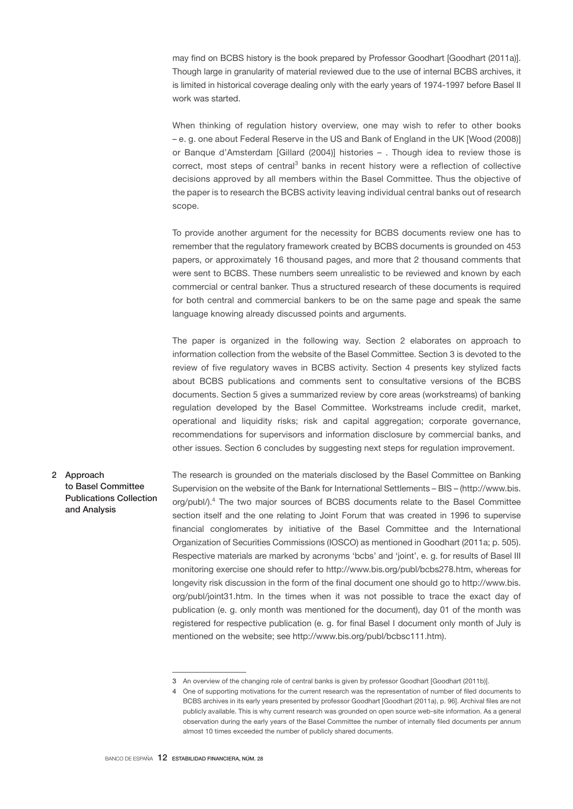may find on BCBS history is the book prepared by Professor Goodhart [Goodhart (2011a)]. Though large in granularity of material reviewed due to the use of internal BCBS archives, it is limited in historical coverage dealing only with the early years of 1974-1997 before Basel II work was started.

When thinking of regulation history overview, one may wish to refer to other books – e. g. one about Federal Reserve in the US and Bank of England in the UK [Wood (2008)] or Banque d'Amsterdam [Gillard (2004)] histories – . Though idea to review those is correct, most steps of central<sup>3</sup> banks in recent history were a reflection of collective decisions approved by all members within the Basel Committee. Thus the objective of the paper is to research the BCBS activity leaving individual central banks out of research scope.

To provide another argument for the necessity for BCBS documents review one has to remember that the regulatory framework created by BCBS documents is grounded on 453 papers, or approximately 16 thousand pages, and more that 2 thousand comments that were sent to BCBS. These numbers seem unrealistic to be reviewed and known by each commercial or central banker. Thus a structured research of these documents is required for both central and commercial bankers to be on the same page and speak the same language knowing already discussed points and arguments.

The paper is organized in the following way. Section 2 elaborates on approach to information collection from the website of the Basel Committee. Section 3 is devoted to the review of five regulatory waves in BCBS activity. Section 4 presents key stylized facts about BCBS publications and comments sent to consultative versions of the BCBS documents. Section 5 gives a summarized review by core areas (workstreams) of banking regulation developed by the Basel Committee. Workstreams include credit, market, operational and liquidity risks; risk and capital aggregation; corporate governance, recommendations for supervisors and information disclosure by commercial banks, and other issues. Section 6 concludes by suggesting next steps for regulation improvement.

2 Approach to Basel Committee Publications Collection and Analysis

The research is grounded on the materials disclosed by the Basel Committee on Banking Supervision on the website of the Bank for International Settlements – BIS – (http://www.bis. org/publ/).<sup>4</sup> The two major sources of BCBS documents relate to the Basel Committee section itself and the one relating to Joint Forum that was created in 1996 to supervise financial conglomerates by initiative of the Basel Committee and the International Organization of Securities Commissions (IOSCO) as mentioned in Goodhart (2011a; p. 505). Respective materials are marked by acronyms 'bcbs' and 'joint', e. g. for results of Basel III monitoring exercise one should refer to http://www.bis.org/publ/bcbs278.htm, whereas for longevity risk discussion in the form of the final document one should go to http://www.bis. org/publ/joint31.htm. In the times when it was not possible to trace the exact day of publication (e. g. only month was mentioned for the document), day 01 of the month was registered for respective publication (e. g. for final Basel I document only month of July is mentioned on the website; see http://www.bis.org/publ/bcbsc111.htm).

<sup>3</sup> An overview of the changing role of central banks is given by professor Goodhart [Goodhart (2011b)].

<sup>4</sup> One of supporting motivations for the current research was the representation of number of filed documents to BCBS archives in its early years presented by professor Goodhart [Goodhart (2011a), p. 96]. Archival files are not publicly available. This is why current research was grounded on open source web-site information. As a general observation during the early years of the Basel Committee the number of internally filed documents per annum almost 10 times exceeded the number of publicly shared documents.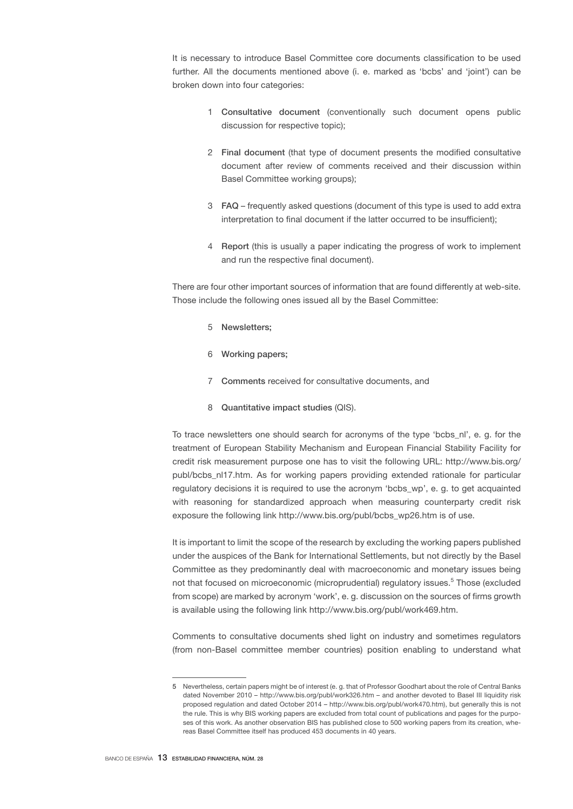It is necessary to introduce Basel Committee core documents classification to be used further. All the documents mentioned above (i. e. marked as 'bcbs' and 'joint') can be broken down into four categories:

- 1 Consultative document (conventionally such document opens public discussion for respective topic);
- 2 Final document (that type of document presents the modified consultative document after review of comments received and their discussion within Basel Committee working groups);
- 3 FAQ frequently asked questions (document of this type is used to add extra interpretation to final document if the latter occurred to be insufficient);
- 4 Report (this is usually a paper indicating the progress of work to implement and run the respective final document).

There are four other important sources of information that are found differently at web-site. Those include the following ones issued all by the Basel Committee:

- 5 Newsletters;
- 6 Working papers;
- 7 Comments received for consultative documents, and
- 8 Quantitative impact studies (QIS).

To trace newsletters one should search for acronyms of the type 'bcbs\_nl', e. g. for the treatment of European Stability Mechanism and European Financial Stability Facility for credit risk measurement purpose one has to visit the following URL: http://www.bis.org/ publ/bcbs\_nl17.htm. As for working papers providing extended rationale for particular regulatory decisions it is required to use the acronym 'bcbs\_wp', e. g. to get acquainted with reasoning for standardized approach when measuring counterparty credit risk exposure the following link http://www.bis.org/publ/bcbs\_wp26.htm is of use.

It is important to limit the scope of the research by excluding the working papers published under the auspices of the Bank for International Settlements, but not directly by the Basel Committee as they predominantly deal with macroeconomic and monetary issues being not that focused on microeconomic (microprudential) regulatory issues.<sup>5</sup> Those (excluded from scope) are marked by acronym 'work', e. g. discussion on the sources of firms growth is available using the following link http://www.bis.org/publ/work469.htm.

Comments to consultative documents shed light on industry and sometimes regulators (from non-Basel committee member countries) position enabling to understand what

<sup>5</sup> Nevertheless, certain papers might be of interest (e. g. that of Professor Goodhart about the role of Central Banks dated November 2010 – http://www.bis.org/publ/work326.htm – and another devoted to Basel III liquidity risk proposed regulation and dated October 2014 – http://www.bis.org/publ/work470.htm), but generally this is not the rule. This is why BIS working papers are excluded from total count of publications and pages for the purposes of this work. As another observation BIS has published close to 500 working papers from its creation, whereas Basel Committee itself has produced 453 documents in 40 years.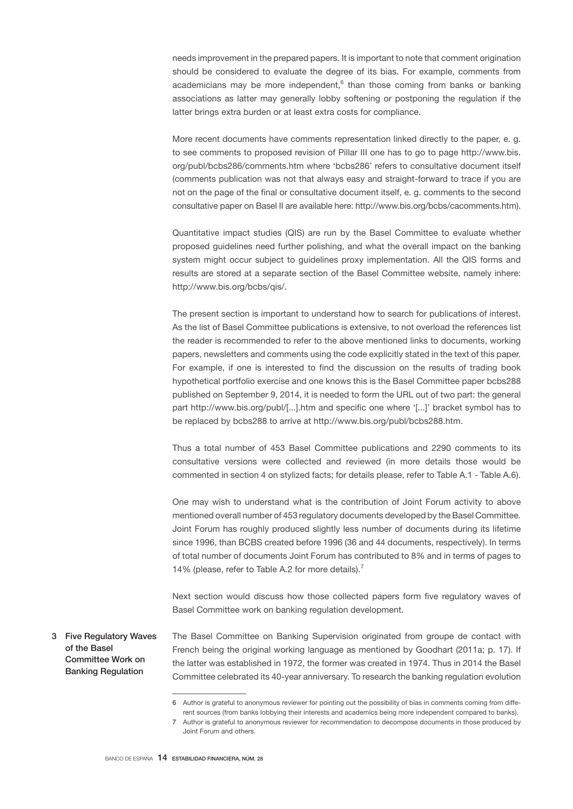needs improvement in the prepared papers. It is important to note that comment origination should be considered to evaluate the degree of its bias. For example, comments from academicians may be more independent,<sup>6</sup> than those coming from banks or banking associations as latter may generally lobby softening or postponing the regulation if the latter brings extra burden or at least extra costs for compliance.

More recent documents have comments representation linked directly to the paper, e. g. to see comments to proposed revision of Pillar III one has to go to page http://www.bis. org/publ/bcbs286/comments.htm where 'bcbs286' refers to consultative document itself (comments publication was not that always easy and straight-forward to trace if you are not on the page of the final or consultative document itself, e. g. comments to the second consultative paper on Basel II are available here: http://www.bis.org/bcbs/cacomments.htm).

Quantitative impact studies (QIS) are run by the Basel Committee to evaluate whether proposed guidelines need further polishing, and what the overall impact on the banking system might occur subject to guidelines proxy implementation. All the QIS forms and results are stored at a separate section of the Basel Committee website, namely inhere: http://www.bis.org/bcbs/qis/.

The present section is important to understand how to search for publications of interest. As the list of Basel Committee publications is extensive, to not overload the references list the reader is recommended to refer to the above mentioned links to documents, working papers, newsletters and comments using the code explicitly stated in the text of this paper. For example, if one is interested to find the discussion on the results of trading book hypothetical portfolio exercise and one knows this is the Basel Committee paper bcbs288 published on September 9, 2014, it is needed to form the URL out of two part: the general part http://www.bis.org/publ/[...].htm and specific one where '[...]' bracket symbol has to be replaced by bcbs288 to arrive at http://www.bis.org/publ/bcbs288.htm.

Thus a total number of 453 Basel Committee publications and 2290 comments to its consultative versions were collected and reviewed (in more details those would be commented in section 4 on stylized facts; for details please, refer to Table A.1 - Table A.6).

One may wish to understand what is the contribution of Joint Forum activity to above mentioned overall number of 453 regulatory documents developed by the Basel Committee. Joint Forum has roughly produced slightly less number of documents during its lifetime since 1996, than BCBS created before 1996 (36 and 44 documents, respectively). In terms of total number of documents Joint Forum has contributed to 8% and in terms of pages to 14% (please, refer to Table A.2 for more details).<sup>7</sup>

Next section would discuss how those collected papers form five regulatory waves of Basel Committee work on banking regulation development.

The Basel Committee on Banking Supervision originated from groupe de contact with French being the original working language as mentioned by Goodhart (2011a; p. 17). If the latter was established in 1972, the former was created in 1974. Thus in 2014 the Basel Committee celebrated its 40-year anniversary. To research the banking regulation evolution 3 Five Regulatory Waves of the Basel Committee Work on Banking Regulation

<sup>6</sup> Author is grateful to anonymous reviewer for pointing out the possibility of bias in comments coming from different sources (from banks lobbying their interests and academics being more independent compared to banks).

<sup>7</sup> Author is grateful to anonymous reviewer for recommendation to decompose documents in those produced by Joint Forum and others.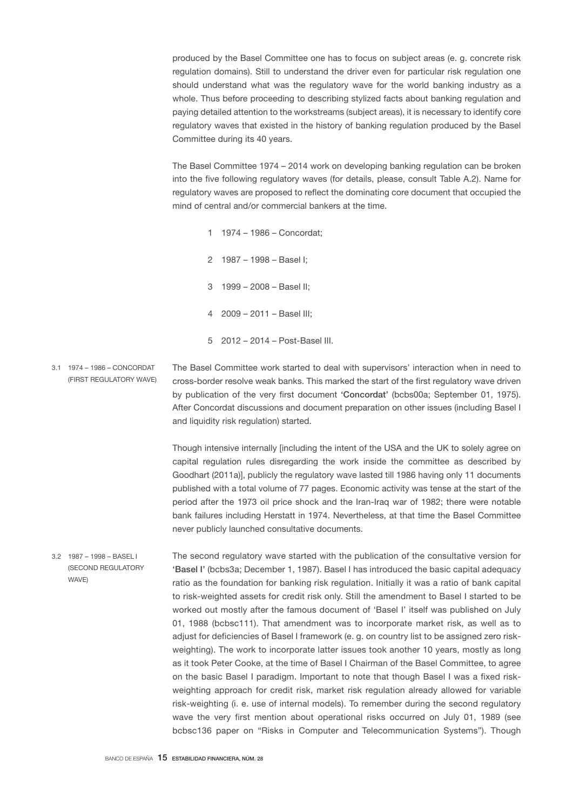produced by the Basel Committee one has to focus on subject areas (e. g. concrete risk regulation domains). Still to understand the driver even for particular risk regulation one should understand what was the regulatory wave for the world banking industry as a whole. Thus before proceeding to describing stylized facts about banking regulation and paying detailed attention to the workstreams (subject areas), it is necessary to identify core regulatory waves that existed in the history of banking regulation produced by the Basel Committee during its 40 years.

The Basel Committee 1974 – 2014 work on developing banking regulation can be broken into the five following regulatory waves (for details, please, consult Table A.2). Name for regulatory waves are proposed to reflect the dominating core document that occupied the mind of central and/or commercial bankers at the time.

- 1 1974 1986 Concordat;
- 2 1987 1998 Basel I;
- 3 1999 2008 Basel II;
- 4 2009 2011 Basel III;
- 5 2012 2014 Post-Basel III.
- The Basel Committee work started to deal with supervisors' interaction when in need to cross-border resolve weak banks. This marked the start of the first regulatory wave driven by publication of the very first document 'Concordat' (bcbs00a; September 01, 1975). After Concordat discussions and document preparation on other issues (including Basel I and liquidity risk regulation) started. 3.1 1974 – 1986 – CONCORDAT (FIRST REGULATORY WAVE)

Though intensive internally [including the intent of the USA and the UK to solely agree on capital regulation rules disregarding the work inside the committee as described by Goodhart (2011a)], publicly the regulatory wave lasted till 1986 having only 11 documents published with a total volume of 77 pages. Economic activity was tense at the start of the period after the 1973 oil price shock and the Iran-Iraq war of 1982; there were notable bank failures including Herstatt in 1974. Nevertheless, at that time the Basel Committee never publicly launched consultative documents.

The second regulatory wave started with the publication of the consultative version for 'Basel I' (bcbs3a; December 1, 1987). Basel I has introduced the basic capital adequacy ratio as the foundation for banking risk regulation. Initially it was a ratio of bank capital to risk-weighted assets for credit risk only. Still the amendment to Basel I started to be worked out mostly after the famous document of 'Basel I' itself was published on July 01, 1988 (bcbsc111). That amendment was to incorporate market risk, as well as to adjust for deficiencies of Basel I framework (e. g. on country list to be assigned zero riskweighting). The work to incorporate latter issues took another 10 years, mostly as long as it took Peter Cooke, at the time of Basel I Chairman of the Basel Committee, to agree on the basic Basel I paradigm. Important to note that though Basel I was a fixed riskweighting approach for credit risk, market risk regulation already allowed for variable risk-weighting (i. e. use of internal models). To remember during the second regulatory wave the very first mention about operational risks occurred on July 01, 1989 (see bcbsc136 paper on "Risks in Computer and Telecommunication Systems"). Though 3.2 1987 – 1998 – BASEL I (SECOND REGULATORY WAVE)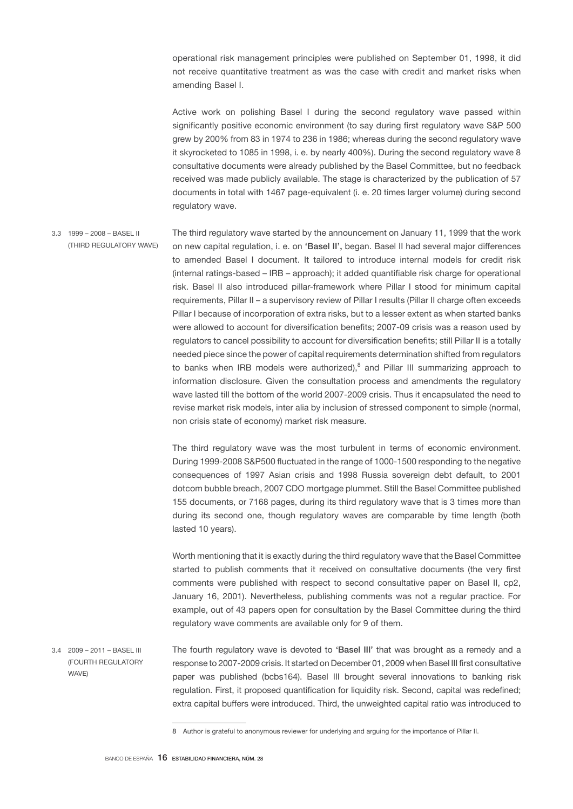operational risk management principles were published on September 01, 1998, it did not receive quantitative treatment as was the case with credit and market risks when amending Basel I.

Active work on polishing Basel I during the second regulatory wave passed within significantly positive economic environment (to say during first regulatory wave S&P 500 grew by 200% from 83 in 1974 to 236 in 1986; whereas during the second regulatory wave it skyrocketed to 1085 in 1998, i. e. by nearly 400%). During the second regulatory wave 8 consultative documents were already published by the Basel Committee, but no feedback received was made publicly available. The stage is characterized by the publication of 57 documents in total with 1467 page-equivalent (i. e. 20 times larger volume) during second regulatory wave.

The third regulatory wave started by the announcement on January 11, 1999 that the work on new capital regulation, i. e. on 'Basel II', began. Basel II had several major differences to amended Basel I document. It tailored to introduce internal models for credit risk (internal ratings-based – IRB – approach); it added quantifiable risk charge for operational risk. Basel II also introduced pillar-framework where Pillar I stood for minimum capital requirements, Pillar II – a supervisory review of Pillar I results (Pillar II charge often exceeds Pillar I because of incorporation of extra risks, but to a lesser extent as when started banks were allowed to account for diversification benefits; 2007-09 crisis was a reason used by regulators to cancel possibility to account for diversification benefits; still Pillar II is a totally needed piece since the power of capital requirements determination shifted from regulators to banks when IRB models were authorized),<sup>8</sup> and Pillar III summarizing approach to information disclosure. Given the consultation process and amendments the regulatory wave lasted till the bottom of the world 2007-2009 crisis. Thus it encapsulated the need to revise market risk models, inter alia by inclusion of stressed component to simple (normal, non crisis state of economy) market risk measure. 3.3 1999 – 2008 – BASEL II (THIRD REGULATORY WAVE)

> The third regulatory wave was the most turbulent in terms of economic environment. During 1999-2008 S&P500 fluctuated in the range of 1000-1500 responding to the negative consequences of 1997 Asian crisis and 1998 Russia sovereign debt default, to 2001 dotcom bubble breach, 2007 CDO mortgage plummet. Still the Basel Committee published 155 documents, or 7168 pages, during its third regulatory wave that is 3 times more than during its second one, though regulatory waves are comparable by time length (both lasted 10 years).

> Worth mentioning that it is exactly during the third regulatory wave that the Basel Committee started to publish comments that it received on consultative documents (the very first comments were published with respect to second consultative paper on Basel II, cp2, January 16, 2001). Nevertheless, publishing comments was not a regular practice. For example, out of 43 papers open for consultation by the Basel Committee during the third regulatory wave comments are available only for 9 of them.

The fourth regulatory wave is devoted to 'Basel III' that was brought as a remedy and a response to 2007-2009 crisis. It started on December 01, 2009 when Basel III first consultative paper was published (bcbs164). Basel III brought several innovations to banking risk regulation. First, it proposed quantification for liquidity risk. Second, capital was redefined; extra capital buffers were introduced. Third, the unweighted capital ratio was introduced to 3.4 2009 – 2011 – BASEL III (FOURTH REGULATORY WAVE)

<sup>8</sup> Author is grateful to anonymous reviewer for underlying and arguing for the importance of Pillar II.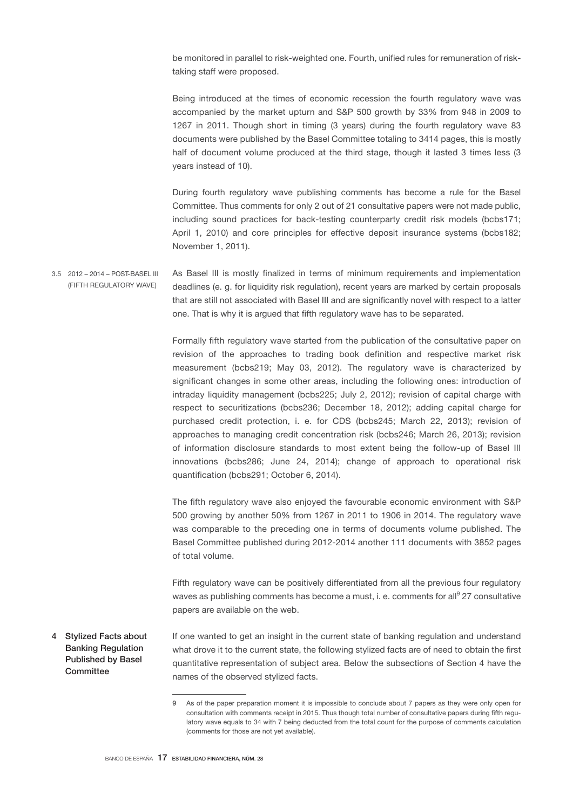be monitored in parallel to risk-weighted one. Fourth, unified rules for remuneration of risktaking staff were proposed.

Being introduced at the times of economic recession the fourth regulatory wave was accompanied by the market upturn and S&P 500 growth by 33% from 948 in 2009 to 1267 in 2011. Though short in timing (3 years) during the fourth regulatory wave 83 documents were published by the Basel Committee totaling to 3414 pages, this is mostly half of document volume produced at the third stage, though it lasted 3 times less (3 years instead of 10).

During fourth regulatory wave publishing comments has become a rule for the Basel Committee. Thus comments for only 2 out of 21 consultative papers were not made public, including sound practices for back-testing counterparty credit risk models (bcbs171; April 1, 2010) and core principles for effective deposit insurance systems (bcbs182; November 1, 2011).

As Basel III is mostly finalized in terms of minimum requirements and implementation deadlines (e. g. for liquidity risk regulation), recent years are marked by certain proposals that are still not associated with Basel III and are significantly novel with respect to a latter one. That is why it is argued that fifth regulatory wave has to be separated. 3.5 2012 – 2014 – POST-BASEL III (FIFTH REGULATORY WAVE)

> Formally fifth regulatory wave started from the publication of the consultative paper on revision of the approaches to trading book definition and respective market risk measurement (bcbs219; May 03, 2012). The regulatory wave is characterized by significant changes in some other areas, including the following ones: introduction of intraday liquidity management (bcbs225; July 2, 2012); revision of capital charge with respect to securitizations (bcbs236; December 18, 2012); adding capital charge for purchased credit protection, i. e. for CDS (bcbs245; March 22, 2013); revision of approaches to managing credit concentration risk (bcbs246; March 26, 2013); revision of information disclosure standards to most extent being the follow-up of Basel III innovations (bcbs286; June 24, 2014); change of approach to operational risk quantification (bcbs291; October 6, 2014).

> The fifth regulatory wave also enjoyed the favourable economic environment with S&P 500 growing by another 50% from 1267 in 2011 to 1906 in 2014. The regulatory wave was comparable to the preceding one in terms of documents volume published. The Basel Committee published during 2012-2014 another 111 documents with 3852 pages of total volume.

> Fifth regulatory wave can be positively differentiated from all the previous four regulatory waves as publishing comments has become a must, i. e. comments for all<sup>9</sup> 27 consultative papers are available on the web.

If one wanted to get an insight in the current state of banking regulation and understand what drove it to the current state, the following stylized facts are of need to obtain the first quantitative representation of subject area. Below the subsections of Section 4 have the names of the observed stylized facts. 4 Stylized Facts about Banking Regulation Published by Basel **Committee** 

<sup>9</sup> As of the paper preparation moment it is impossible to conclude about 7 papers as they were only open for consultation with comments receipt in 2015. Thus though total number of consultative papers during fifth regulatory wave equals to 34 with 7 being deducted from the total count for the purpose of comments calculation (comments for those are not yet available).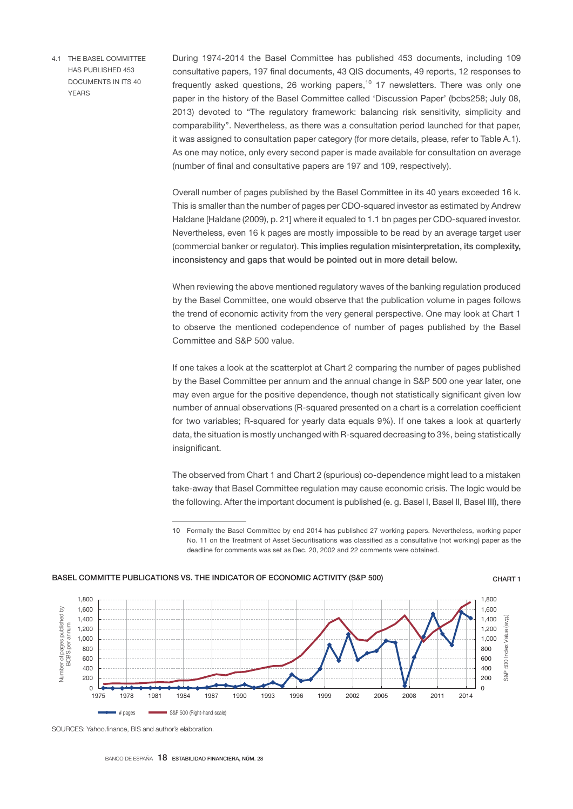4.1 THE BASEL COMMITTEE HAS PUBLISHED 453 DOCUMENTS IN ITS 40 YEARS

During 1974-2014 the Basel Committee has published 453 documents, including 109 consultative papers, 197 final documents, 43 QIS documents, 49 reports, 12 responses to frequently asked questions, 26 working papers, $10\,17$  newsletters. There was only one paper in the history of the Basel Committee called 'Discussion Paper' (bcbs258; July 08, 2013) devoted to "The regulatory framework: balancing risk sensitivity, simplicity and comparability". Nevertheless, as there was a consultation period launched for that paper, it was assigned to consultation paper category (for more details, please, refer to Table A.1). As one may notice, only every second paper is made available for consultation on average (number of final and consultative papers are 197 and 109, respectively).

Overall number of pages published by the Basel Committee in its 40 years exceeded 16 k. This is smaller than the number of pages per CDO-squared investor as estimated by Andrew Haldane [Haldane (2009), p. 21] where it equaled to 1.1 bn pages per CDO-squared investor. Nevertheless, even 16 k pages are mostly impossible to be read by an average target user (commercial banker or regulator). This implies regulation misinterpretation, its complexity, inconsistency and gaps that would be pointed out in more detail below.

When reviewing the above mentioned regulatory waves of the banking regulation produced by the Basel Committee, one would observe that the publication volume in pages follows the trend of economic activity from the very general perspective. One may look at Chart 1 to observe the mentioned codependence of number of pages published by the Basel Committee and S&P 500 value.

If one takes a look at the scatterplot at Chart 2 comparing the number of pages published by the Basel Committee per annum and the annual change in S&P 500 one year later, one may even argue for the positive dependence, though not statistically significant given low number of annual observations (R-squared presented on a chart is a correlation coefficient for two variables; R-squared for yearly data equals 9%). If one takes a look at quarterly data, the situation is mostly unchanged with R-squared decreasing to 3%, being statistically insignificant.

The observed from Chart 1 and Chart 2 (spurious) co-dependence might lead to a mistaken take-away that Basel Committee regulation may cause economic crisis. The logic would be the following. After the important document is published (e. g. Basel I, Basel II, Basel III), there

<sup>10</sup> Formally the Basel Committee by end 2014 has published 27 working papers. Nevertheless, working paper No. 11 on the Treatment of Asset Securitisations was classified as a consultative (not working) paper as the deadline for comments was set as Dec. 20, 2002 and 22 comments were obtained.



### BASEL COMMITTE PUBLICATIONS VS. THE INDICATOR OF ECONOMIC ACTIVITY (S&P 500) CHART 1

SOURCES: Yahoo finance BIS and author's elaboration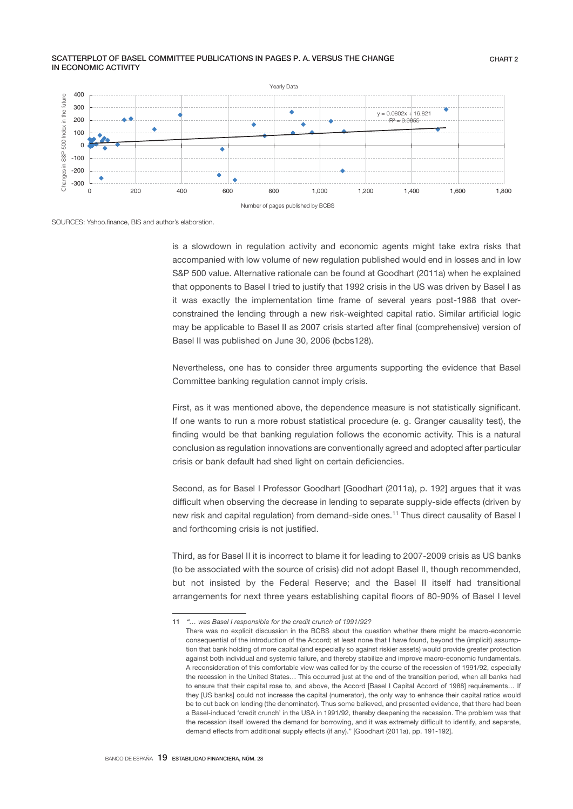#### SCATTERPLOT OF BASEL COMMITTEE PUBLICATIONS IN PAGES P. A. VERSUS THE CHANGE IN ECONOMIC ACTIVITY



SOURCES: Yahoo finance. BIS and author's elaboration.

is a slowdown in regulation activity and economic agents might take extra risks that accompanied with low volume of new regulation published would end in losses and in low S&P 500 value. Alternative rationale can be found at Goodhart (2011a) when he explained that opponents to Basel I tried to justify that 1992 crisis in the US was driven by Basel I as it was exactly the implementation time frame of several years post-1988 that overconstrained the lending through a new risk-weighted capital ratio. Similar artificial logic may be applicable to Basel II as 2007 crisis started after final (comprehensive) version of Basel II was published on June 30, 2006 (bcbs128).

Nevertheless, one has to consider three arguments supporting the evidence that Basel Committee banking regulation cannot imply crisis.

First, as it was mentioned above, the dependence measure is not statistically significant. If one wants to run a more robust statistical procedure (e. g. Granger causality test), the finding would be that banking regulation follows the economic activity. This is a natural conclusion as regulation innovations are conventionally agreed and adopted after particular crisis or bank default had shed light on certain deficiencies.

Second, as for Basel I Professor Goodhart [Goodhart (2011a), p. 192] argues that it was difficult when observing the decrease in lending to separate supply-side effects (driven by new risk and capital regulation) from demand-side ones.<sup>11</sup> Thus direct causality of Basel I and forthcoming crisis is not justified.

Third, as for Basel II it is incorrect to blame it for leading to 2007-2009 crisis as US banks (to be associated with the source of crisis) did not adopt Basel II, though recommended, but not insisted by the Federal Reserve; and the Basel II itself had transitional arrangements for next three years establishing capital floors of 80-90% of Basel I level

<sup>11</sup> *"… was Basel I responsible for the credit crunch of 1991/92?*

There was no explicit discussion in the BCBS about the question whether there might be macro-economic consequential of the introduction of the Accord; at least none that I have found, beyond the (implicit) assumption that bank holding of more capital (and especially so against riskier assets) would provide greater protection against both individual and systemic failure, and thereby stabilize and improve macro-economic fundamentals. A reconsideration of this comfortable view was called for by the course of the recession of 1991/92, especially the recession in the United States… This occurred just at the end of the transition period, when all banks had to ensure that their capital rose to, and above, the Accord [Basel I Capital Accord of 1988] requirements… If they [US banks] could not increase the capital (numerator), the only way to enhance their capital ratios would be to cut back on lending (the denominator). Thus some believed, and presented evidence, that there had been a Basel-induced 'credit crunch' in the USA in 1991/92, thereby deepening the recession. The problem was that the recession itself lowered the demand for borrowing, and it was extremely difficult to identify, and separate, demand effects from additional supply effects (if any)." [Goodhart (2011a), pp. 191-192].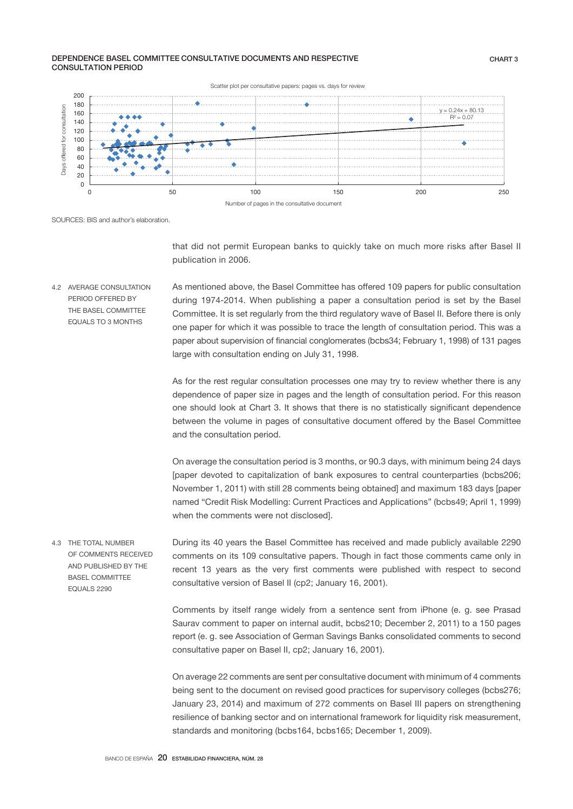#### DEPENDENCE BASEL COMMITTEE CONSULTATIVE DOCUMENTS AND RESPECTIVE CONSULTATION PERIOD



SOURCES: BIS and author's elaboration.

that did not permit European banks to quickly take on much more risks after Basel II publication in 2006.

As mentioned above, the Basel Committee has offered 109 papers for public consultation during 1974-2014. When publishing a paper a consultation period is set by the Basel Committee. It is set regularly from the third regulatory wave of Basel II. Before there is only one paper for which it was possible to trace the length of consultation period. This was a paper about supervision of financial conglomerates (bcbs34; February 1, 1998) of 131 pages large with consultation ending on July 31, 1998. 4.2 AVERAGE CONSULTATION PERIOD OFFERED BY THE BASEL COMMITTEE EQUALS TO 3 MONTHS

> As for the rest regular consultation processes one may try to review whether there is any dependence of paper size in pages and the length of consultation period. For this reason one should look at Chart 3. It shows that there is no statistically significant dependence between the volume in pages of consultative document offered by the Basel Committee and the consultation period.

> On average the consultation period is 3 months, or 90.3 days, with minimum being 24 days [paper devoted to capitalization of bank exposures to central counterparties (bcbs206; November 1, 2011) with still 28 comments being obtained] and maximum 183 days [paper named "Credit Risk Modelling: Current Practices and Applications" (bcbs49; April 1, 1999) when the comments were not disclosed].

During its 40 years the Basel Committee has received and made publicly available 2290 comments on its 109 consultative papers. Though in fact those comments came only in recent 13 years as the very first comments were published with respect to second consultative version of Basel II (cp2; January 16, 2001). 4.3 THE TOTAL NUMBER OF COMMENTS RECEIVED AND PUBLISHED BY THE BASEL COMMITTEE EQUALS 2290

> Comments by itself range widely from a sentence sent from iPhone (e. g. see Prasad Saurav comment to paper on internal audit, bcbs210; December 2, 2011) to a 150 pages report (e. g. see Association of German Savings Banks consolidated comments to second consultative paper on Basel II, cp2; January 16, 2001).

> On average 22 comments are sent per consultative document with minimum of 4 comments being sent to the document on revised good practices for supervisory colleges (bcbs276; January 23, 2014) and maximum of 272 comments on Basel III papers on strengthening resilience of banking sector and on international framework for liquidity risk measurement, standards and monitoring (bcbs164, bcbs165; December 1, 2009).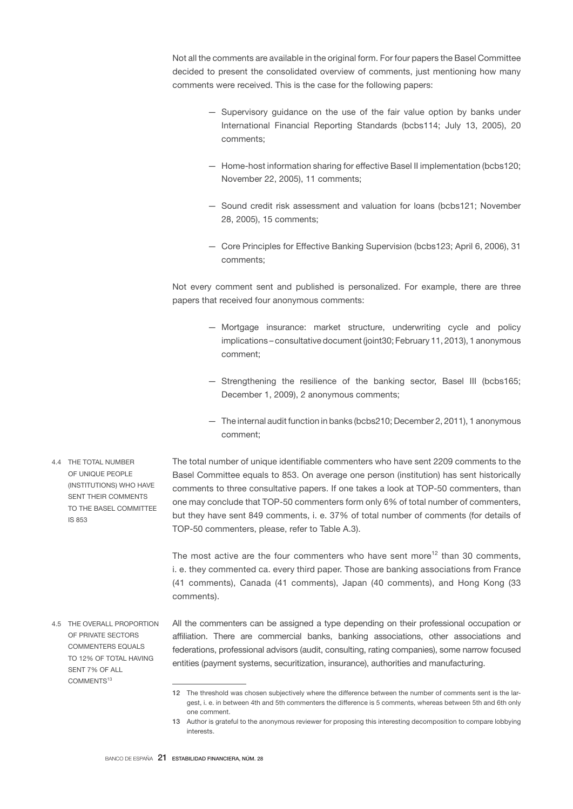Not all the comments are available in the original form. For four papers the Basel Committee decided to present the consolidated overview of comments, just mentioning how many comments were received. This is the case for the following papers:

- Supervisory guidance on the use of the fair value option by banks under International Financial Reporting Standards (bcbs114; July 13, 2005), 20 comments;
- Home-host information sharing for effective Basel II implementation (bcbs120; November 22, 2005), 11 comments;
- Sound credit risk assessment and valuation for loans (bcbs121; November 28, 2005), 15 comments;
- Core Principles for Effective Banking Supervision (bcbs123; April 6, 2006), 31 comments;

Not every comment sent and published is personalized. For example, there are three papers that received four anonymous comments:

- Mortgage insurance: market structure, underwriting cycle and policy implications – consultative document (joint30; February 11, 2013), 1 anonymous comment;
- Strengthening the resilience of the banking sector, Basel III (bcbs165; December 1, 2009), 2 anonymous comments;
- The internal audit function in banks (bcbs210; December 2, 2011), 1 anonymous comment;

The total number of unique identifiable commenters who have sent 2209 comments to the Basel Committee equals to 853. On average one person (institution) has sent historically comments to three consultative papers. If one takes a look at TOP-50 commenters, than one may conclude that TOP-50 commenters form only 6% of total number of commenters, but they have sent 849 comments, i. e. 37% of total number of comments (for details of TOP-50 commenters, please, refer to Table A.3).

The most active are the four commenters who have sent more<sup>12</sup> than 30 comments, i. e. they commented ca. every third paper. Those are banking associations from France (41 comments), Canada (41 comments), Japan (40 comments), and Hong Kong (33 comments).

- All the commenters can be assigned a type depending on their professional occupation or affiliation. There are commercial banks, banking associations, other associations and federations, professional advisors (audit, consulting, rating companies), some narrow focused entities (payment systems, securitization, insurance), authorities and manufacturing. 4.5 THE OVERALL PROPORTION OF PRIVATE SECTORS COMMENTERS EQUALS TO 12% OF TOTAL HAVING SENT 7% OF ALL
	- 12 The threshold was chosen subjectively where the difference between the number of comments sent is the largest, i. e. in between 4th and 5th commenters the difference is 5 comments, whereas between 5th and 6th only one comment.
	- 13 Author is grateful to the anonymous reviewer for proposing this interesting decomposition to compare lobbying interests.

4.4 THE TOTAL NUMBER OF UNIQUE PEOPLE (INSTITUTIONS) WHO HAVE SENT THEIR COMMENTS TO THE BASEL COMMITTEE IS 853

COMMENTS<sup>13</sup>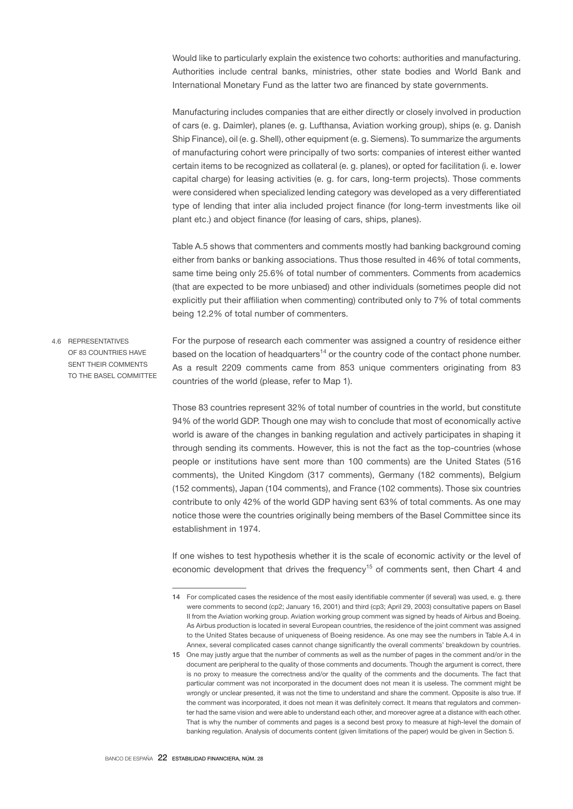Would like to particularly explain the existence two cohorts: authorities and manufacturing. Authorities include central banks, ministries, other state bodies and World Bank and International Monetary Fund as the latter two are financed by state governments.

Manufacturing includes companies that are either directly or closely involved in production of cars (e. g. Daimler), planes (e. g. Lufthansa, Aviation working group), ships (e. g. Danish Ship Finance), oil (e. g. Shell), other equipment (e. g. Siemens). To summarize the arguments of manufacturing cohort were principally of two sorts: companies of interest either wanted certain items to be recognized as collateral (e. g. planes), or opted for facilitation (i. e. lower capital charge) for leasing activities (e. g. for cars, long-term projects). Those comments were considered when specialized lending category was developed as a very differentiated type of lending that inter alia included project finance (for long-term investments like oil plant etc.) and object finance (for leasing of cars, ships, planes).

Table A.5 shows that commenters and comments mostly had banking background coming either from banks or banking associations. Thus those resulted in 46% of total comments, same time being only 25.6% of total number of commenters. Comments from academics (that are expected to be more unbiased) and other individuals (sometimes people did not explicitly put their affiliation when commenting) contributed only to 7% of total comments being 12.2% of total number of commenters.

For the purpose of research each commenter was assigned a country of residence either based on the location of headquarters<sup>14</sup> or the country code of the contact phone number. As a result 2209 comments came from 853 unique commenters originating from 83 countries of the world (please, refer to Map 1). 4.6 REPRESENTATIVES OF 83 COUNTRIES HAVE SENT THEIR COMMENTS TO THE BASEL COMMITTEE

> Those 83 countries represent 32% of total number of countries in the world, but constitute 94% of the world GDP. Though one may wish to conclude that most of economically active world is aware of the changes in banking regulation and actively participates in shaping it through sending its comments. However, this is not the fact as the top-countries (whose people or institutions have sent more than 100 comments) are the United States (516 comments), the United Kingdom (317 comments), Germany (182 comments), Belgium (152 comments), Japan (104 comments), and France (102 comments). Those six countries contribute to only 42% of the world GDP having sent 63% of total comments. As one may notice those were the countries originally being members of the Basel Committee since its establishment in 1974.

> If one wishes to test hypothesis whether it is the scale of economic activity or the level of economic development that drives the frequency<sup>15</sup> of comments sent, then Chart 4 and

<sup>14</sup> For complicated cases the residence of the most easily identifiable commenter (if several) was used, e. g. there were comments to second (cp2; January 16, 2001) and third (cp3; April 29, 2003) consultative papers on Basel II from the Aviation working group. Aviation working group comment was signed by heads of Airbus and Boeing. As Airbus production is located in several European countries, the residence of the joint comment was assigned to the United States because of uniqueness of Boeing residence. As one may see the numbers in Table A.4 in Annex, several complicated cases cannot change significantly the overall comments' breakdown by countries.

<sup>15</sup> One may justly argue that the number of comments as well as the number of pages in the comment and/or in the document are peripheral to the quality of those comments and documents. Though the argument is correct, there is no proxy to measure the correctness and/or the quality of the comments and the documents. The fact that particular comment was not incorporated in the document does not mean it is useless. The comment might be wrongly or unclear presented, it was not the time to understand and share the comment. Opposite is also true. If the comment was incorporated, it does not mean it was definitely correct. It means that regulators and commenter had the same vision and were able to understand each other, and moreover agree at a distance with each other. That is why the number of comments and pages is a second best proxy to measure at high-level the domain of banking regulation. Analysis of documents content (given limitations of the paper) would be given in Section 5.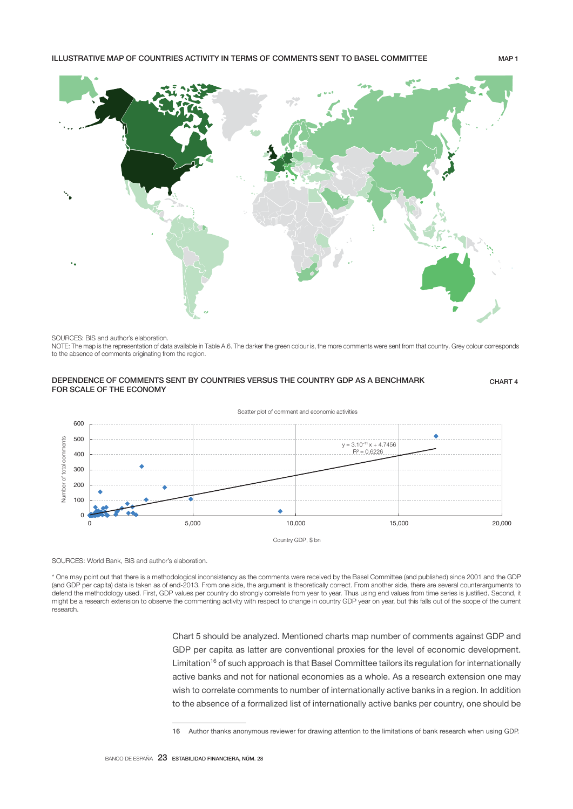

### SOURCES: BIS and author's elaboration.

NOTE: The map is the representation of data available in Table A.6. The darker the green colour is, the more comments were sent from that country. Grey colour corresponds to the absence of comments originating from the region.

## DEPENDENCE OF COMMENTS SENT BY COUNTRIES VERSUS THE COUNTRY GDP AS A BENCHMARK FOR SCALE OF THE ECONOMY

CHART 4



SOURCES: World Bank, BIS and author's elaboration.

\* One may point out that there is a methodological inconsistency as the comments were received by the Basel Committee (and published) since 2001 and the GDP (and GDP per capita) data is taken as of end-2013. From one side, the argument is theoretically correct. From another side, there are several counterarguments to defend the methodology used. First, GDP values per country do strongly correlate from year to year. Thus using end values from time series is justified. Second, it might be a research extension to observe the commenting activity with respect to change in country GDP year on year, but this falls out of the scope of the current research.

> Chart 5 should be analyzed. Mentioned charts map number of comments against GDP and GDP per capita as latter are conventional proxies for the level of economic development. Limitation<sup>16</sup> of such approach is that Basel Committee tailors its regulation for internationally active banks and not for national economies as a whole. As a research extension one may wish to correlate comments to number of internationally active banks in a region. In addition to the absence of a formalized list of internationally active banks per country, one should be

<sup>16</sup> Author thanks anonymous reviewer for drawing attention to the limitations of bank research when using GDP.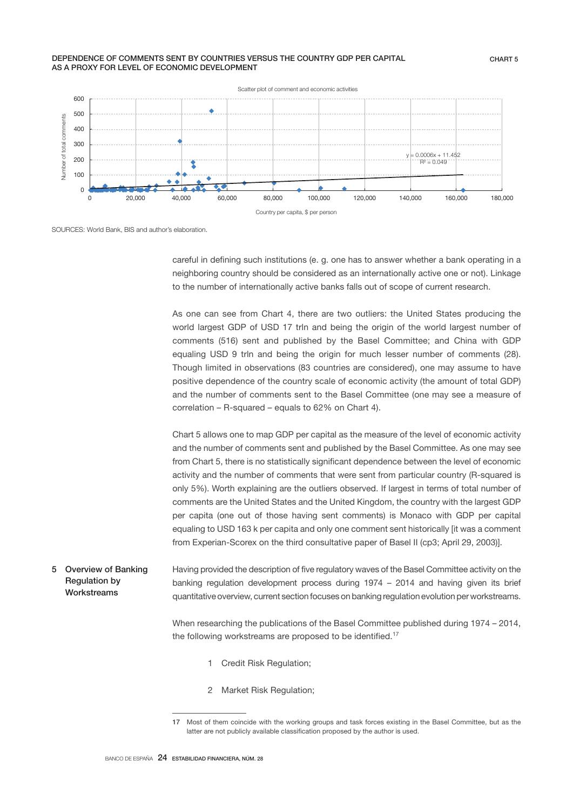## DEPENDENCE OF COMMENTS SENT BY COUNTRIES VERSUS THE COUNTRY GDP PER CAPITAL AS A PROXY FOR LEVEL OF ECONOMIC DEVELOPMENT



SOURCES: World Bank, BIS and author's elaboration.

careful in defining such institutions (e. g. one has to answer whether a bank operating in a neighboring country should be considered as an internationally active one or not). Linkage to the number of internationally active banks falls out of scope of current research.

As one can see from Chart 4, there are two outliers: the United States producing the world largest GDP of USD 17 trln and being the origin of the world largest number of comments (516) sent and published by the Basel Committee; and China with GDP equaling USD 9 trln and being the origin for much lesser number of comments (28). Though limited in observations (83 countries are considered), one may assume to have positive dependence of the country scale of economic activity (the amount of total GDP) and the number of comments sent to the Basel Committee (one may see a measure of correlation – R-squared – equals to 62% on Chart 4).

Chart 5 allows one to map GDP per capital as the measure of the level of economic activity and the number of comments sent and published by the Basel Committee. As one may see from Chart 5, there is no statistically significant dependence between the level of economic activity and the number of comments that were sent from particular country (R-squared is only 5%). Worth explaining are the outliers observed. If largest in terms of total number of comments are the United States and the United Kingdom, the country with the largest GDP per capita (one out of those having sent comments) is Monaco with GDP per capital equaling to USD 163 k per capita and only one comment sent historically [it was a comment from Experian-Scorex on the third consultative paper of Basel II (cp3; April 29, 2003)].

Having provided the description of five regulatory waves of the Basel Committee activity on the banking regulation development process during 1974 – 2014 and having given its brief quantitative overview, current section focuses on banking regulation evolution per workstreams. 5 Overview of Banking Regulation by Workstreams

> When researching the publications of the Basel Committee published during 1974 – 2014, the following workstreams are proposed to be identified.<sup>17</sup>

- 1 Credit Risk Regulation;
- 2 Market Risk Regulation;

<sup>17</sup> Most of them coincide with the working groups and task forces existing in the Basel Committee, but as the latter are not publicly available classification proposed by the author is used.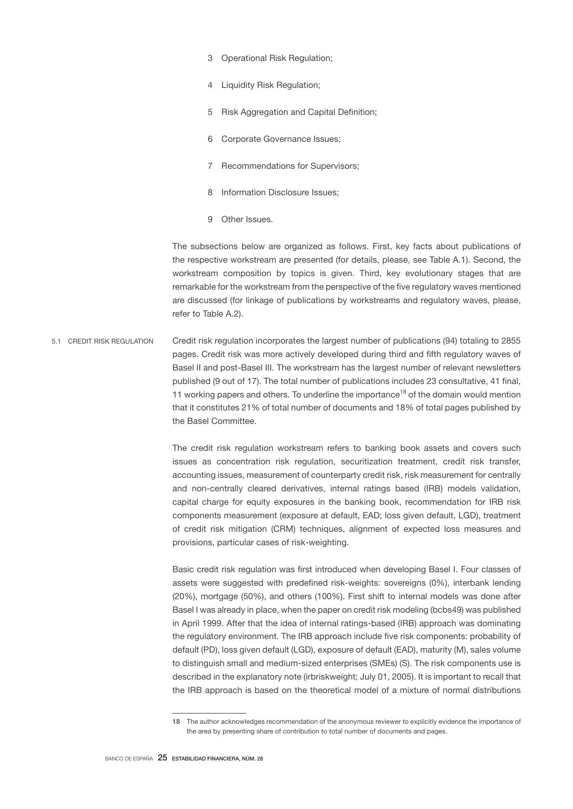- 3 Operational Risk Regulation;
- 4 Liquidity Risk Regulation;
- 5 Risk Aggregation and Capital Definition;
- 6 Corporate Governance Issues;
- 7 Recommendations for Supervisors;
- 8 Information Disclosure Issues;
- 9 Other Issues.

The subsections below are organized as follows. First, key facts about publications of the respective workstream are presented (for details, please, see Table A.1). Second, the workstream composition by topics is given. Third, key evolutionary stages that are remarkable for the workstream from the perspective of the five regulatory waves mentioned are discussed (for linkage of publications by workstreams and regulatory waves, please, refer to Table A.2).

Credit risk regulation incorporates the largest number of publications (94) totaling to 2855 pages. Credit risk was more actively developed during third and fifth regulatory waves of Basel II and post-Basel III. The workstream has the largest number of relevant newsletters published (9 out of 17). The total number of publications includes 23 consultative, 41 final, 11 working papers and others. To underline the importance<sup>18</sup> of the domain would mention that it constitutes 21% of total number of documents and 18% of total pages published by the Basel Committee. 5.1 CREDIT RISK REGULATION

> The credit risk regulation workstream refers to banking book assets and covers such issues as concentration risk regulation, securitization treatment, credit risk transfer, accounting issues, measurement of counterparty credit risk, risk measurement for centrally and non-centrally cleared derivatives, internal ratings based (IRB) models validation, capital charge for equity exposures in the banking book, recommendation for IRB risk components measurement (exposure at default, EAD; loss given default, LGD), treatment of credit risk mitigation (CRM) techniques, alignment of expected loss measures and provisions, particular cases of risk-weighting.

> Basic credit risk regulation was first introduced when developing Basel I. Four classes of assets were suggested with predefined risk-weights: sovereigns (0%), interbank lending (20%), mortgage (50%), and others (100%). First shift to internal models was done after Basel I was already in place, when the paper on credit risk modeling (bcbs49) was published in April 1999. After that the idea of internal ratings-based (IRB) approach was dominating the regulatory environment. The IRB approach include five risk components: probability of default (PD), loss given default (LGD), exposure of default (EAD), maturity (M), sales volume to distinguish small and medium-sized enterprises (SMEs) (S). The risk components use is described in the explanatory note (irbriskweight; July 01, 2005). It is important to recall that the IRB approach is based on the theoretical model of a mixture of normal distributions

<sup>18</sup> The author acknowledges recommendation of the anonymous reviewer to explicitly evidence the importance of the area by presenting share of contribution to total number of documents and pages.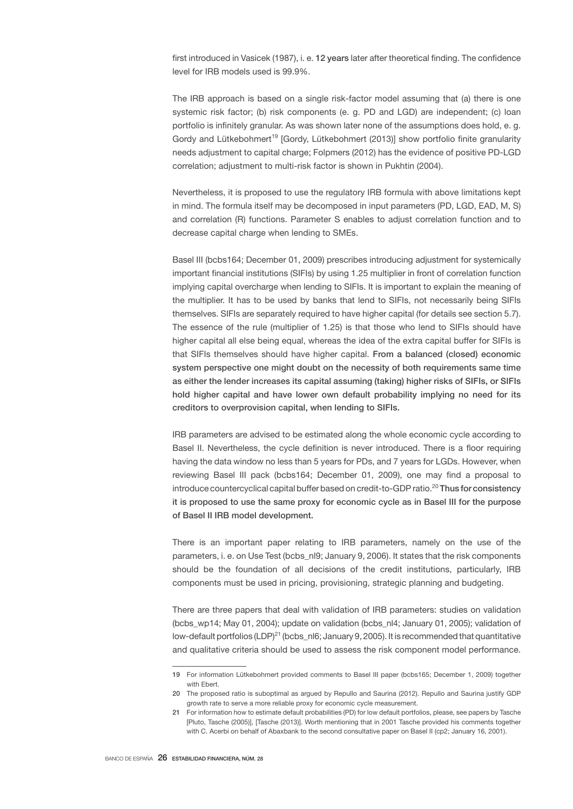first introduced in Vasicek (1987), i. e. 12 years later after theoretical finding. The confidence level for IRB models used is 99.9%.

The IRB approach is based on a single risk-factor model assuming that (a) there is one systemic risk factor; (b) risk components (e. g. PD and LGD) are independent; (c) loan portfolio is infinitely granular. As was shown later none of the assumptions does hold, e. g. Gordy and Lütkebohmert<sup>19</sup> [Gordy, Lütkebohmert (2013)] show portfolio finite granularity needs adjustment to capital charge; Folpmers (2012) has the evidence of positive PD-LGD correlation; adjustment to multi-risk factor is shown in Pukhtin (2004).

Nevertheless, it is proposed to use the regulatory IRB formula with above limitations kept in mind. The formula itself may be decomposed in input parameters (PD, LGD, EAD, M, S) and correlation (R) functions. Parameter S enables to adjust correlation function and to decrease capital charge when lending to SMEs.

Basel III (bcbs164; December 01, 2009) prescribes introducing adjustment for systemically important financial institutions (SIFIs) by using 1.25 multiplier in front of correlation function implying capital overcharge when lending to SIFIs. It is important to explain the meaning of the multiplier. It has to be used by banks that lend to SIFIs, not necessarily being SIFIs themselves. SIFIs are separately required to have higher capital (for details see section 5.7). The essence of the rule (multiplier of 1.25) is that those who lend to SIFIs should have higher capital all else being equal, whereas the idea of the extra capital buffer for SIFIs is that SIFIs themselves should have higher capital. From a balanced (closed) economic system perspective one might doubt on the necessity of both requirements same time as either the lender increases its capital assuming (taking) higher risks of SIFIs, or SIFIs hold higher capital and have lower own default probability implying no need for its creditors to overprovision capital, when lending to SIFIs.

IRB parameters are advised to be estimated along the whole economic cycle according to Basel II. Nevertheless, the cycle definition is never introduced. There is a floor requiring having the data window no less than 5 years for PDs, and 7 years for LGDs. However, when reviewing Basel III pack (bcbs164; December 01, 2009), one may find a proposal to introduce countercyclical capital buffer based on credit-to-GDP ratio.<sup>20</sup> Thus for consistency it is proposed to use the same proxy for economic cycle as in Basel III for the purpose of Basel II IRB model development.

There is an important paper relating to IRB parameters, namely on the use of the parameters, i. e. on Use Test (bcbs\_nl9; January 9, 2006). It states that the risk components should be the foundation of all decisions of the credit institutions, particularly, IRB components must be used in pricing, provisioning, strategic planning and budgeting.

There are three papers that deal with validation of IRB parameters: studies on validation (bcbs\_wp14; May 01, 2004); update on validation (bcbs\_nl4; January 01, 2005); validation of low-default portfolios (LDP)<sup>21</sup> (bcbs  $n\text{B}$ ; January 9, 2005). It is recommended that quantitative and qualitative criteria should be used to assess the risk component model performance.

<sup>19</sup> For information Lütkebohmert provided comments to Basel III paper (bcbs165; December 1, 2009) together with Ebert.

<sup>20</sup> The proposed ratio is suboptimal as argued by Repullo and Saurina (2012). Repullo and Saurina justify GDP growth rate to serve a more reliable proxy for economic cycle measurement.

<sup>21</sup> For information how to estimate default probabilities (PD) for low default portfolios, please, see papers by Tasche [Pluto, Tasche (2005)], [Tasche (2013)]. Worth mentioning that in 2001 Tasche provided his comments together with C. Acerbi on behalf of Abaxbank to the second consultative paper on Basel II (cp2; January 16, 2001).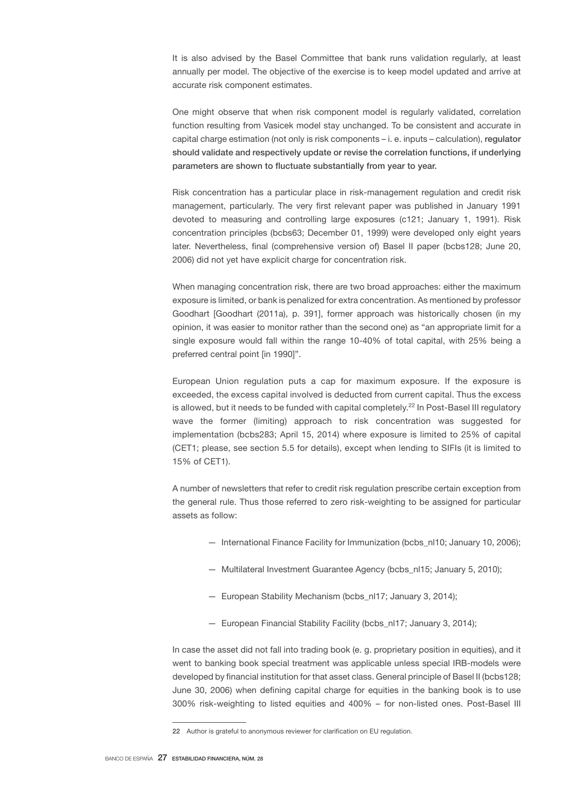It is also advised by the Basel Committee that bank runs validation regularly, at least annually per model. The objective of the exercise is to keep model updated and arrive at accurate risk component estimates.

One might observe that when risk component model is regularly validated, correlation function resulting from Vasicek model stay unchanged. To be consistent and accurate in capital charge estimation (not only is risk components – i. e. inputs – calculation), regulator should validate and respectively update or revise the correlation functions, if underlying parameters are shown to fluctuate substantially from year to year.

Risk concentration has a particular place in risk-management regulation and credit risk management, particularly. The very first relevant paper was published in January 1991 devoted to measuring and controlling large exposures (c121; January 1, 1991). Risk concentration principles (bcbs63; December 01, 1999) were developed only eight years later. Nevertheless, final (comprehensive version of) Basel II paper (bcbs128; June 20, 2006) did not yet have explicit charge for concentration risk.

When managing concentration risk, there are two broad approaches: either the maximum exposure is limited, or bank is penalized for extra concentration. As mentioned by professor Goodhart [Goodhart (2011a), p. 391], former approach was historically chosen (in my opinion, it was easier to monitor rather than the second one) as "an appropriate limit for a single exposure would fall within the range 10-40% of total capital, with 25% being a preferred central point [in 1990]".

European Union regulation puts a cap for maximum exposure. If the exposure is exceeded, the excess capital involved is deducted from current capital. Thus the excess is allowed, but it needs to be funded with capital completely.<sup>22</sup> In Post-Basel III regulatory wave the former (limiting) approach to risk concentration was suggested for implementation (bcbs283; April 15, 2014) where exposure is limited to 25% of capital (CET1; please, see section 5.5 for details), except when lending to SIFIs (it is limited to 15% of CET1).

A number of newsletters that refer to credit risk regulation prescribe certain exception from the general rule. Thus those referred to zero risk-weighting to be assigned for particular assets as follow:

- International Finance Facility for Immunization (bcbs\_nl10; January 10, 2006);
- Multilateral Investment Guarantee Agency (bcbs\_nl15; January 5, 2010);
- European Stability Mechanism (bcbs\_nl17; January 3, 2014);
- European Financial Stability Facility (bcbs\_nl17; January 3, 2014);

In case the asset did not fall into trading book (e. g. proprietary position in equities), and it went to banking book special treatment was applicable unless special IRB-models were developed by financial institution for that asset class. General principle of Basel II (bcbs128; June 30, 2006) when defining capital charge for equities in the banking book is to use 300% risk-weighting to listed equities and 400% – for non-listed ones. Post-Basel III

<sup>22</sup> Author is grateful to anonymous reviewer for clarification on EU regulation.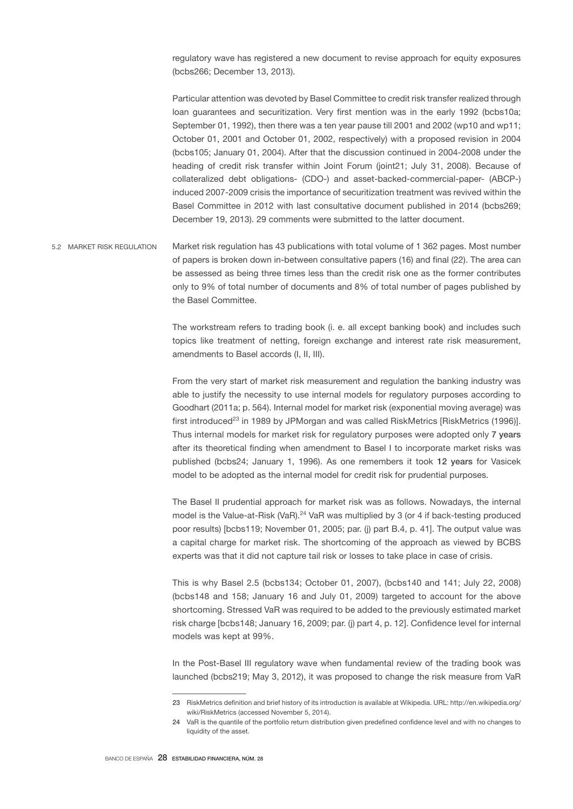regulatory wave has registered a new document to revise approach for equity exposures (bcbs266; December 13, 2013).

Particular attention was devoted by Basel Committee to credit risk transfer realized through loan guarantees and securitization. Very first mention was in the early 1992 (bcbs10a; September 01, 1992), then there was a ten year pause till 2001 and 2002 (wp10 and wp11; October 01, 2001 and October 01, 2002, respectively) with a proposed revision in 2004 (bcbs105; January 01, 2004). After that the discussion continued in 2004-2008 under the heading of credit risk transfer within Joint Forum (joint21; July 31, 2008). Because of collateralized debt obligations- (CDO-) and asset-backed-commercial-paper- (ABCP-) induced 2007-2009 crisis the importance of securitization treatment was revived within the Basel Committee in 2012 with last consultative document published in 2014 (bcbs269; December 19, 2013). 29 comments were submitted to the latter document.

Market risk regulation has 43 publications with total volume of 1 362 pages. Most number of papers is broken down in-between consultative papers (16) and final (22). The area can be assessed as being three times less than the credit risk one as the former contributes only to 9% of total number of documents and 8% of total number of pages published by the Basel Committee. 5.2 MARKET RISK REGULATION

> The workstream refers to trading book (i. e. all except banking book) and includes such topics like treatment of netting, foreign exchange and interest rate risk measurement, amendments to Basel accords (I, II, III).

> From the very start of market risk measurement and regulation the banking industry was able to justify the necessity to use internal models for regulatory purposes according to Goodhart (2011a; p. 564). Internal model for market risk (exponential moving average) was first introduced<sup>23</sup> in 1989 by JPMorgan and was called RiskMetrics [RiskMetrics (1996)]. Thus internal models for market risk for regulatory purposes were adopted only 7 years after its theoretical finding when amendment to Basel I to incorporate market risks was published (bcbs24; January 1, 1996). As one remembers it took 12 years for Vasicek model to be adopted as the internal model for credit risk for prudential purposes.

> The Basel II prudential approach for market risk was as follows. Nowadays, the internal model is the Value-at-Risk (VaR).<sup>24</sup> VaR was multiplied by 3 (or 4 if back-testing produced poor results) [bcbs119; November 01, 2005; par. (j) part B.4, p. 41]. The output value was a capital charge for market risk. The shortcoming of the approach as viewed by BCBS experts was that it did not capture tail risk or losses to take place in case of crisis.

> This is why Basel 2.5 (bcbs134; October 01, 2007), (bcbs140 and 141; July 22, 2008) (bcbs148 and 158; January 16 and July 01, 2009) targeted to account for the above shortcoming. Stressed VaR was required to be added to the previously estimated market risk charge [bcbs148; January 16, 2009; par. (j) part 4, p. 12]. Confidence level for internal models was kept at 99%.

> In the Post-Basel III regulatory wave when fundamental review of the trading book was launched (bcbs219; May 3, 2012), it was proposed to change the risk measure from VaR

<sup>23</sup> RiskMetrics definition and brief history of its introduction is available at Wikipedia. URL: http://en.wikipedia.org/ wiki/RiskMetrics (accessed November 5, 2014).

<sup>24</sup> VaR is the quantile of the portfolio return distribution given predefined confidence level and with no changes to liquidity of the asset.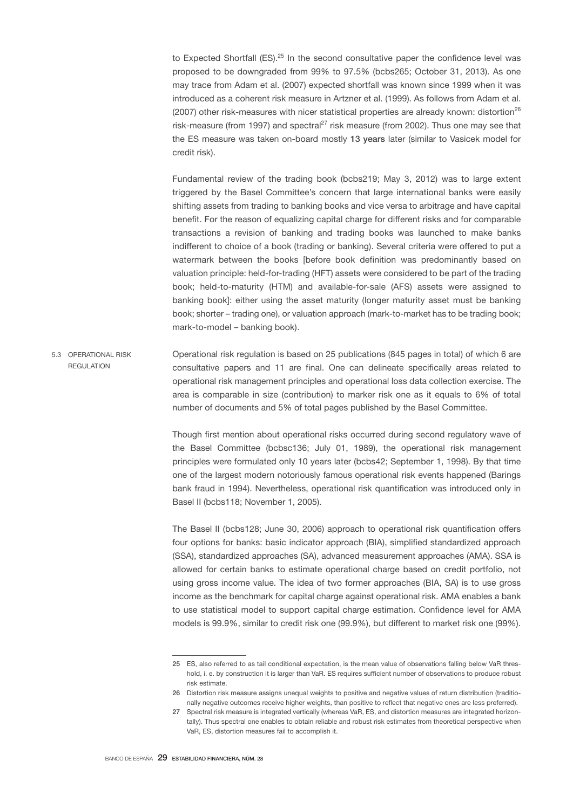to Expected Shortfall  $(ES).^{25}$  In the second consultative paper the confidence level was proposed to be downgraded from 99% to 97.5% (bcbs265; October 31, 2013). As one may trace from Adam et al. (2007) expected shortfall was known since 1999 when it was introduced as a coherent risk measure in Artzner et al. (1999). As follows from Adam et al.  $(2007)$  other risk-measures with nicer statistical properties are already known: distortion<sup>26</sup> risk-measure (from 1997) and spectral<sup>27</sup> risk measure (from 2002). Thus one may see that the ES measure was taken on-board mostly 13 years later (similar to Vasicek model for credit risk).

Fundamental review of the trading book (bcbs219; May 3, 2012) was to large extent triggered by the Basel Committee's concern that large international banks were easily shifting assets from trading to banking books and vice versa to arbitrage and have capital benefit. For the reason of equalizing capital charge for different risks and for comparable transactions a revision of banking and trading books was launched to make banks indifferent to choice of a book (trading or banking). Several criteria were offered to put a watermark between the books [before book definition was predominantly based on valuation principle: held-for-trading (HFT) assets were considered to be part of the trading book; held-to-maturity (HTM) and available-for-sale (AFS) assets were assigned to banking book]: either using the asset maturity (longer maturity asset must be banking book; shorter – trading one), or valuation approach (mark-to-market has to be trading book; mark-to-model – banking book).

Operational risk regulation is based on 25 publications (845 pages in total) of which 6 are consultative papers and 11 are final. One can delineate specifically areas related to operational risk management principles and operational loss data collection exercise. The area is comparable in size (contribution) to marker risk one as it equals to 6% of total number of documents and 5% of total pages published by the Basel Committee. 5.3 OPERATIONAL RISK REGULATION

> Though first mention about operational risks occurred during second regulatory wave of the Basel Committee (bcbsc136; July 01, 1989), the operational risk management principles were formulated only 10 years later (bcbs42; September 1, 1998). By that time one of the largest modern notoriously famous operational risk events happened (Barings bank fraud in 1994). Nevertheless, operational risk quantification was introduced only in Basel II (bcbs118; November 1, 2005).

> The Basel II (bcbs128; June 30, 2006) approach to operational risk quantification offers four options for banks: basic indicator approach (BIA), simplified standardized approach (SSA), standardized approaches (SA), advanced measurement approaches (AMA). SSA is allowed for certain banks to estimate operational charge based on credit portfolio, not using gross income value. The idea of two former approaches (BIA, SA) is to use gross income as the benchmark for capital charge against operational risk. AMA enables a bank to use statistical model to support capital charge estimation. Confidence level for AMA models is 99.9%, similar to credit risk one (99.9%), but different to market risk one (99%).

<sup>25</sup> ES, also referred to as tail conditional expectation, is the mean value of observations falling below VaR threshold, i. e. by construction it is larger than VaR. ES requires sufficient number of observations to produce robust risk estimate.

<sup>26</sup> Distortion risk measure assigns unequal weights to positive and negative values of return distribution (traditionally negative outcomes receive higher weights, than positive to reflect that negative ones are less preferred).

<sup>27</sup> Spectral risk measure is integrated vertically (whereas VaR, ES, and distortion measures are integrated horizontally). Thus spectral one enables to obtain reliable and robust risk estimates from theoretical perspective when VaR, ES, distortion measures fail to accomplish it.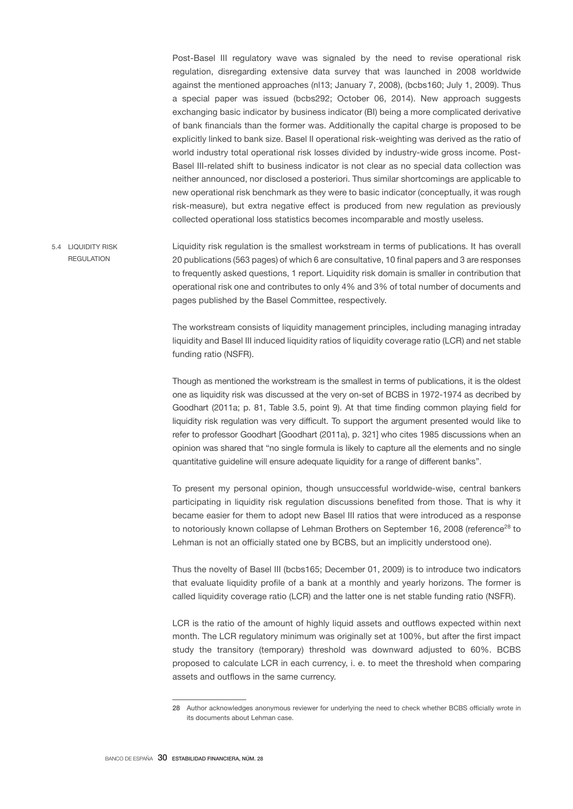Post-Basel III regulatory wave was signaled by the need to revise operational risk regulation, disregarding extensive data survey that was launched in 2008 worldwide against the mentioned approaches (nl13; January 7, 2008), (bcbs160; July 1, 2009). Thus a special paper was issued (bcbs292; October 06, 2014). New approach suggests exchanging basic indicator by business indicator (BI) being a more complicated derivative of bank financials than the former was. Additionally the capital charge is proposed to be explicitly linked to bank size. Basel II operational risk-weighting was derived as the ratio of world industry total operational risk losses divided by industry-wide gross income. Post-Basel III-related shift to business indicator is not clear as no special data collection was neither announced, nor disclosed a posteriori. Thus similar shortcomings are applicable to new operational risk benchmark as they were to basic indicator (conceptually, it was rough risk-measure), but extra negative effect is produced from new regulation as previously collected operational loss statistics becomes incomparable and mostly useless.

Liquidity risk regulation is the smallest workstream in terms of publications. It has overall 20 publications (563 pages) of which 6 are consultative, 10 final papers and 3 are responses to frequently asked questions, 1 report. Liquidity risk domain is smaller in contribution that operational risk one and contributes to only 4% and 3% of total number of documents and pages published by the Basel Committee, respectively. 5.4 LIQUIDITY RISK **REGULATION** 

> The workstream consists of liquidity management principles, including managing intraday liquidity and Basel III induced liquidity ratios of liquidity coverage ratio (LCR) and net stable funding ratio (NSFR).

> Though as mentioned the workstream is the smallest in terms of publications, it is the oldest one as liquidity risk was discussed at the very on-set of BCBS in 1972-1974 as decribed by Goodhart (2011a; p. 81, Table 3.5, point 9). At that time finding common playing field for liquidity risk regulation was very difficult. To support the argument presented would like to refer to professor Goodhart [Goodhart (2011a), p. 321] who cites 1985 discussions when an opinion was shared that "no single formula is likely to capture all the elements and no single quantitative guideline will ensure adequate liquidity for a range of different banks".

> To present my personal opinion, though unsuccessful worldwide-wise, central bankers participating in liquidity risk regulation discussions benefited from those. That is why it became easier for them to adopt new Basel III ratios that were introduced as a response to notoriously known collapse of Lehman Brothers on September 16, 2008 (reference<sup>28</sup> to Lehman is not an officially stated one by BCBS, but an implicitly understood one).

> Thus the novelty of Basel III (bcbs165; December 01, 2009) is to introduce two indicators that evaluate liquidity profile of a bank at a monthly and yearly horizons. The former is called liquidity coverage ratio (LCR) and the latter one is net stable funding ratio (NSFR).

> LCR is the ratio of the amount of highly liquid assets and outflows expected within next month. The LCR regulatory minimum was originally set at 100%, but after the first impact study the transitory (temporary) threshold was downward adjusted to 60%. BCBS proposed to calculate LCR in each currency, i. e. to meet the threshold when comparing assets and outflows in the same currency.

<sup>28</sup> Author acknowledges anonymous reviewer for underlying the need to check whether BCBS officially wrote in its documents about Lehman case.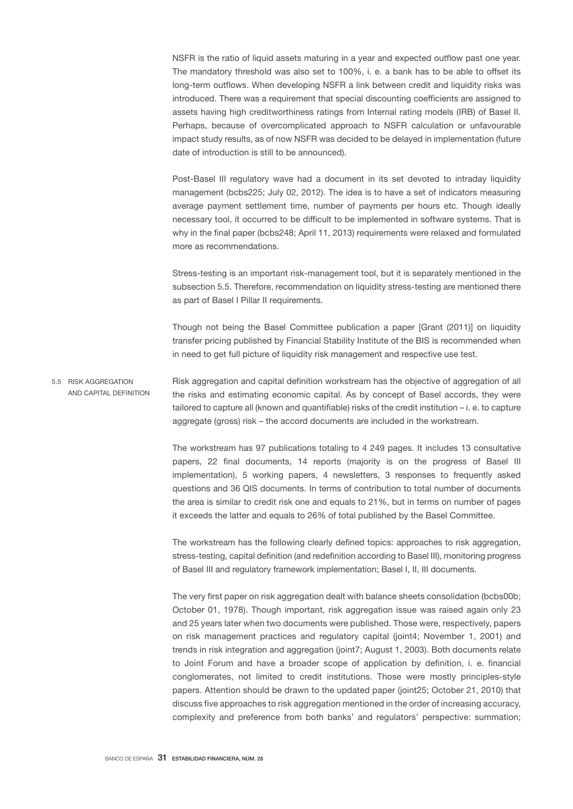NSFR is the ratio of liquid assets maturing in a year and expected outflow past one year. The mandatory threshold was also set to 100%, i. e. a bank has to be able to offset its long-term outflows. When developing NSFR a link between credit and liquidity risks was introduced. There was a requirement that special discounting coefficients are assigned to assets having high creditworthiness ratings from Internal rating models (IRB) of Basel II. Perhaps, because of overcomplicated approach to NSFR calculation or unfavourable impact study results, as of now NSFR was decided to be delayed in implementation (future date of introduction is still to be announced).

Post-Basel III regulatory wave had a document in its set devoted to intraday liquidity management (bcbs225; July 02, 2012). The idea is to have a set of indicators measuring average payment settlement time, number of payments per hours etc. Though ideally necessary tool, it occurred to be difficult to be implemented in software systems. That is why in the final paper (bcbs248; April 11, 2013) requirements were relaxed and formulated more as recommendations.

Stress-testing is an important risk-management tool, but it is separately mentioned in the subsection 5.5. Therefore, recommendation on liquidity stress-testing are mentioned there as part of Basel I Pillar II requirements.

Though not being the Basel Committee publication a paper [Grant (2011)] on liquidity transfer pricing published by Financial Stability Institute of the BIS is recommended when in need to get full picture of liquidity risk management and respective use test.

Risk aggregation and capital definition workstream has the objective of aggregation of all the risks and estimating economic capital. As by concept of Basel accords, they were tailored to capture all (known and quantifiable) risks of the credit institution – i. e. to capture aggregate (gross) risk – the accord documents are included in the workstream. 5.5 RISK AGGREGATION AND CAPITAL DEFINITION

> The workstream has 97 publications totaling to 4 249 pages. It includes 13 consultative papers, 22 final documents, 14 reports (majority is on the progress of Basel III implementation), 5 working papers, 4 newsletters, 3 responses to frequently asked questions and 36 QIS documents. In terms of contribution to total number of documents the area is similar to credit risk one and equals to 21%, but in terms on number of pages it exceeds the latter and equals to 26% of total published by the Basel Committee.

> The workstream has the following clearly defined topics: approaches to risk aggregation, stress-testing, capital definition (and redefinition according to Basel III), monitoring progress of Basel III and regulatory framework implementation; Basel I, II, III documents.

> The very first paper on risk aggregation dealt with balance sheets consolidation (bcbs00b; October 01, 1978). Though important, risk aggregation issue was raised again only 23 and 25 years later when two documents were published. Those were, respectively, papers on risk management practices and regulatory capital (joint4; November 1, 2001) and trends in risk integration and aggregation (joint7; August 1, 2003). Both documents relate to Joint Forum and have a broader scope of application by definition, i. e. financial conglomerates, not limited to credit institutions. Those were mostly principles-style papers. Attention should be drawn to the updated paper (joint25; October 21, 2010) that discuss five approaches to risk aggregation mentioned in the order of increasing accuracy, complexity and preference from both banks' and regulators' perspective: summation;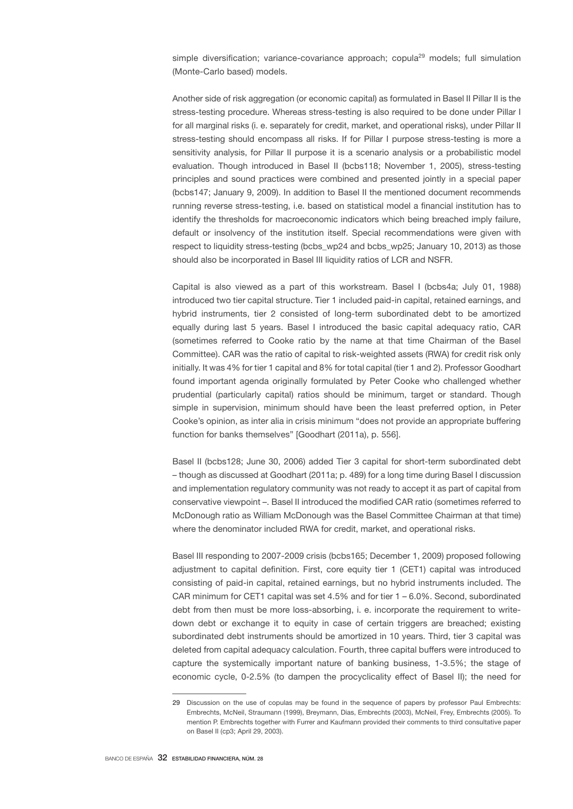simple diversification; variance-covariance approach; copula<sup>29</sup> models; full simulation (Monte-Carlo based) models.

Another side of risk aggregation (or economic capital) as formulated in Basel II Pillar II is the stress-testing procedure. Whereas stress-testing is also required to be done under Pillar I for all marginal risks (i. e. separately for credit, market, and operational risks), under Pillar II stress-testing should encompass all risks. If for Pillar I purpose stress-testing is more a sensitivity analysis, for Pillar II purpose it is a scenario analysis or a probabilistic model evaluation. Though introduced in Basel II (bcbs118; November 1, 2005), stress-testing principles and sound practices were combined and presented jointly in a special paper (bcbs147; January 9, 2009). In addition to Basel II the mentioned document recommends running reverse stress-testing, i.e. based on statistical model a financial institution has to identify the thresholds for macroeconomic indicators which being breached imply failure, default or insolvency of the institution itself. Special recommendations were given with respect to liquidity stress-testing (bcbs\_wp24 and bcbs\_wp25; January 10, 2013) as those should also be incorporated in Basel III liquidity ratios of LCR and NSFR.

Capital is also viewed as a part of this workstream. Basel I (bcbs4a; July 01, 1988) introduced two tier capital structure. Tier 1 included paid-in capital, retained earnings, and hybrid instruments, tier 2 consisted of long-term subordinated debt to be amortized equally during last 5 years. Basel I introduced the basic capital adequacy ratio, CAR (sometimes referred to Cooke ratio by the name at that time Chairman of the Basel Committee). CAR was the ratio of capital to risk-weighted assets (RWA) for credit risk only initially. It was 4% for tier 1 capital and 8% for total capital (tier 1 and 2). Professor Goodhart found important agenda originally formulated by Peter Cooke who challenged whether prudential (particularly capital) ratios should be minimum, target or standard. Though simple in supervision, minimum should have been the least preferred option, in Peter Cooke's opinion, as inter alia in crisis minimum "does not provide an appropriate buffering function for banks themselves" [Goodhart (2011a), p. 556].

Basel II (bcbs128; June 30, 2006) added Tier 3 capital for short-term subordinated debt – though as discussed at Goodhart (2011a; p. 489) for a long time during Basel I discussion and implementation regulatory community was not ready to accept it as part of capital from conservative viewpoint –. Basel II introduced the modified CAR ratio (sometimes referred to McDonough ratio as William McDonough was the Basel Committee Chairman at that time) where the denominator included RWA for credit, market, and operational risks.

Basel III responding to 2007-2009 crisis (bcbs165; December 1, 2009) proposed following adjustment to capital definition. First, core equity tier 1 (CET1) capital was introduced consisting of paid-in capital, retained earnings, but no hybrid instruments included. The CAR minimum for CET1 capital was set 4.5% and for tier 1 – 6.0%. Second, subordinated debt from then must be more loss-absorbing, i. e. incorporate the requirement to writedown debt or exchange it to equity in case of certain triggers are breached; existing subordinated debt instruments should be amortized in 10 years. Third, tier 3 capital was deleted from capital adequacy calculation. Fourth, three capital buffers were introduced to capture the systemically important nature of banking business, 1-3.5%; the stage of economic cycle, 0-2.5% (to dampen the procyclicality effect of Basel II); the need for

<sup>29</sup> Discussion on the use of copulas may be found in the sequence of papers by professor Paul Embrechts: Embrechts, McNeil, Straumann (1999), Breymann, Dias, Embrechts (2003), McNeil, Frey, Embrechts (2005). To mention P. Embrechts together with Furrer and Kaufmann provided their comments to third consultative paper on Basel II (cp3; April 29, 2003).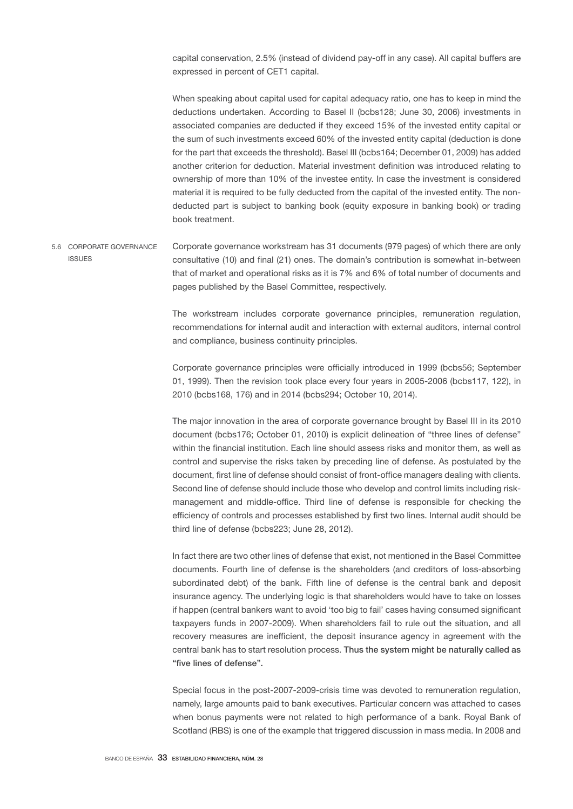capital conservation, 2.5% (instead of dividend pay-off in any case). All capital buffers are expressed in percent of CET1 capital.

When speaking about capital used for capital adequacy ratio, one has to keep in mind the deductions undertaken. According to Basel II (bcbs128; June 30, 2006) investments in associated companies are deducted if they exceed 15% of the invested entity capital or the sum of such investments exceed 60% of the invested entity capital (deduction is done for the part that exceeds the threshold). Basel III (bcbs164; December 01, 2009) has added another criterion for deduction. Material investment definition was introduced relating to ownership of more than 10% of the investee entity. In case the investment is considered material it is required to be fully deducted from the capital of the invested entity. The nondeducted part is subject to banking book (equity exposure in banking book) or trading book treatment.

Corporate governance workstream has 31 documents (979 pages) of which there are only consultative (10) and final (21) ones. The domain's contribution is somewhat in-between that of market and operational risks as it is 7% and 6% of total number of documents and pages published by the Basel Committee, respectively. 5.6 CORPORATE GOVERNANCE ISSUES

> The workstream includes corporate governance principles, remuneration regulation, recommendations for internal audit and interaction with external auditors, internal control and compliance, business continuity principles.

> Corporate governance principles were officially introduced in 1999 (bcbs56; September 01, 1999). Then the revision took place every four years in 2005-2006 (bcbs117, 122), in 2010 (bcbs168, 176) and in 2014 (bcbs294; October 10, 2014).

> The major innovation in the area of corporate governance brought by Basel III in its 2010 document (bcbs176; October 01, 2010) is explicit delineation of "three lines of defense" within the financial institution. Each line should assess risks and monitor them, as well as control and supervise the risks taken by preceding line of defense. As postulated by the document, first line of defense should consist of front-office managers dealing with clients. Second line of defense should include those who develop and control limits including riskmanagement and middle-office. Third line of defense is responsible for checking the efficiency of controls and processes established by first two lines. Internal audit should be third line of defense (bcbs223; June 28, 2012).

> In fact there are two other lines of defense that exist, not mentioned in the Basel Committee documents. Fourth line of defense is the shareholders (and creditors of loss-absorbing subordinated debt) of the bank. Fifth line of defense is the central bank and deposit insurance agency. The underlying logic is that shareholders would have to take on losses if happen (central bankers want to avoid 'too big to fail' cases having consumed significant taxpayers funds in 2007-2009). When shareholders fail to rule out the situation, and all recovery measures are inefficient, the deposit insurance agency in agreement with the central bank has to start resolution process. Thus the system might be naturally called as "five lines of defense".

> Special focus in the post-2007-2009-crisis time was devoted to remuneration regulation, namely, large amounts paid to bank executives. Particular concern was attached to cases when bonus payments were not related to high performance of a bank. Royal Bank of Scotland (RBS) is one of the example that triggered discussion in mass media. In 2008 and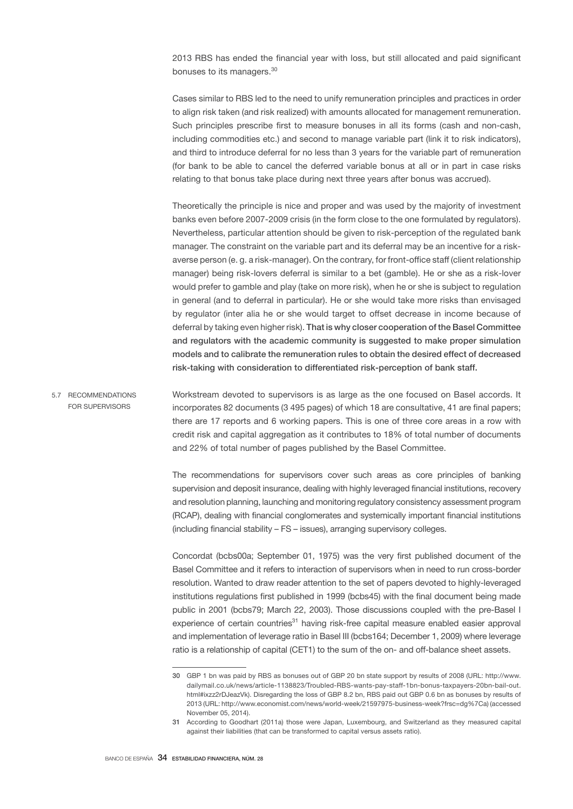2013 RBS has ended the financial year with loss, but still allocated and paid significant bonuses to its managers.<sup>30</sup>

Cases similar to RBS led to the need to unify remuneration principles and practices in order to align risk taken (and risk realized) with amounts allocated for management remuneration. Such principles prescribe first to measure bonuses in all its forms (cash and non-cash, including commodities etc.) and second to manage variable part (link it to risk indicators), and third to introduce deferral for no less than 3 years for the variable part of remuneration (for bank to be able to cancel the deferred variable bonus at all or in part in case risks relating to that bonus take place during next three years after bonus was accrued).

Theoretically the principle is nice and proper and was used by the majority of investment banks even before 2007-2009 crisis (in the form close to the one formulated by regulators). Nevertheless, particular attention should be given to risk-perception of the regulated bank manager. The constraint on the variable part and its deferral may be an incentive for a riskaverse person (e. g. a risk-manager). On the contrary, for front-office staff (client relationship manager) being risk-lovers deferral is similar to a bet (gamble). He or she as a risk-lover would prefer to gamble and play (take on more risk), when he or she is subject to regulation in general (and to deferral in particular). He or she would take more risks than envisaged by regulator (inter alia he or she would target to offset decrease in income because of deferral by taking even higher risk). That is why closer cooperation of the Basel Committee and regulators with the academic community is suggested to make proper simulation models and to calibrate the remuneration rules to obtain the desired effect of decreased risk-taking with consideration to differentiated risk-perception of bank staff.

Workstream devoted to supervisors is as large as the one focused on Basel accords. It incorporates 82 documents (3 495 pages) of which 18 are consultative, 41 are final papers; there are 17 reports and 6 working papers. This is one of three core areas in a row with credit risk and capital aggregation as it contributes to 18% of total number of documents and 22% of total number of pages published by the Basel Committee. 5.7 RECOMMENDATIONS FOR SUPERVISORS

> The recommendations for supervisors cover such areas as core principles of banking supervision and deposit insurance, dealing with highly leveraged financial institutions, recovery and resolution planning, launching and monitoring regulatory consistency assessment program (RCAP), dealing with financial conglomerates and systemically important financial institutions (including financial stability – FS – issues), arranging supervisory colleges.

> Concordat (bcbs00a; September 01, 1975) was the very first published document of the Basel Committee and it refers to interaction of supervisors when in need to run cross-border resolution. Wanted to draw reader attention to the set of papers devoted to highly-leveraged institutions regulations first published in 1999 (bcbs45) with the final document being made public in 2001 (bcbs79; March 22, 2003). Those discussions coupled with the pre-Basel I experience of certain countries<sup>31</sup> having risk-free capital measure enabled easier approval and implementation of leverage ratio in Basel III (bcbs164; December 1, 2009) where leverage ratio is a relationship of capital (CET1) to the sum of the on- and off-balance sheet assets.

<sup>30</sup> GBP 1 bn was paid by RBS as bonuses out of GBP 20 bn state support by results of 2008 (URL: http://www. dailymail.co.uk/news/article-1138823/Troubled-RBS-wants-pay-staff-1bn-bonus-taxpayers-20bn-bail-out. html#ixzz2rDJeazVk). Disregarding the loss of GBP 8.2 bn, RBS paid out GBP 0.6 bn as bonuses by results of 2013 (URL: http://www.economist.com/news/world-week/21597975-business-week?frsc=dg%7Ca) (accessed November 05, 2014).

<sup>31</sup> According to Goodhart (2011a) those were Japan, Luxembourg, and Switzerland as they measured capital against their liabilities (that can be transformed to capital versus assets ratio).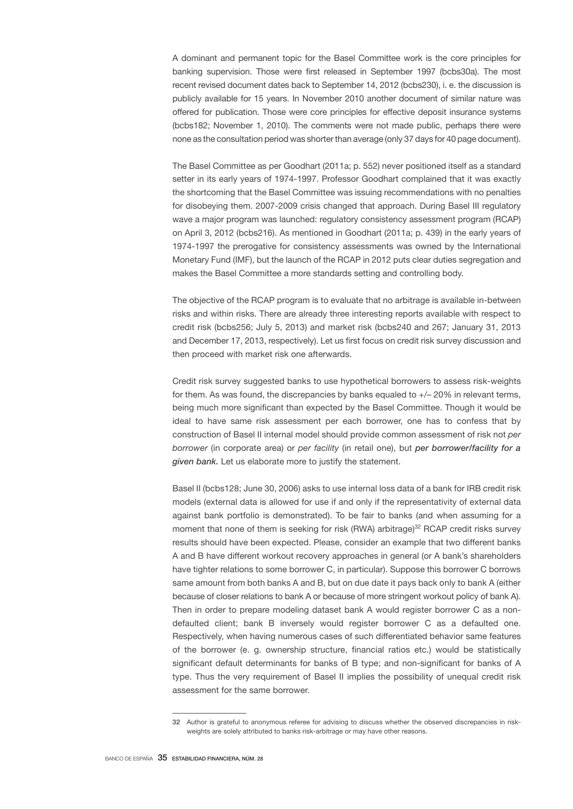A dominant and permanent topic for the Basel Committee work is the core principles for banking supervision. Those were first released in September 1997 (bcbs30a). The most recent revised document dates back to September 14, 2012 (bcbs230), i. e. the discussion is publicly available for 15 years. In November 2010 another document of similar nature was offered for publication. Those were core principles for effective deposit insurance systems (bcbs182; November 1, 2010). The comments were not made public, perhaps there were none as the consultation period was shorter than average (only 37 days for 40 page document).

The Basel Committee as per Goodhart (2011a; p. 552) never positioned itself as a standard setter in its early years of 1974-1997. Professor Goodhart complained that it was exactly the shortcoming that the Basel Committee was issuing recommendations with no penalties for disobeying them. 2007-2009 crisis changed that approach. During Basel III regulatory wave a major program was launched: regulatory consistency assessment program (RCAP) on April 3, 2012 (bcbs216). As mentioned in Goodhart (2011a; p. 439) in the early years of 1974-1997 the prerogative for consistency assessments was owned by the International Monetary Fund (IMF), but the launch of the RCAP in 2012 puts clear duties segregation and makes the Basel Committee a more standards setting and controlling body.

The objective of the RCAP program is to evaluate that no arbitrage is available in-between risks and within risks. There are already three interesting reports available with respect to credit risk (bcbs256; July 5, 2013) and market risk (bcbs240 and 267; January 31, 2013 and December 17, 2013, respectively). Let us first focus on credit risk survey discussion and then proceed with market risk one afterwards.

Credit risk survey suggested banks to use hypothetical borrowers to assess risk-weights for them. As was found, the discrepancies by banks equaled to  $+/-20\%$  in relevant terms, being much more significant than expected by the Basel Committee. Though it would be ideal to have same risk assessment per each borrower, one has to confess that by construction of Basel II internal model should provide common assessment of risk not *per borrower* (in corporate area) or *per facility* (in retail one), but *per borrower/facility for a given bank.* Let us elaborate more to justify the statement.

Basel II (bcbs128; June 30, 2006) asks to use internal loss data of a bank for IRB credit risk models (external data is allowed for use if and only if the representativity of external data against bank portfolio is demonstrated). To be fair to banks (and when assuming for a moment that none of them is seeking for risk (RWA) arbitrage)<sup>32</sup> RCAP credit risks survey results should have been expected. Please, consider an example that two different banks A and B have different workout recovery approaches in general (or A bank's shareholders have tighter relations to some borrower C, in particular). Suppose this borrower C borrows same amount from both banks A and B, but on due date it pays back only to bank A (either because of closer relations to bank A or because of more stringent workout policy of bank A). Then in order to prepare modeling dataset bank A would register borrower C as a nondefaulted client; bank B inversely would register borrower C as a defaulted one. Respectively, when having numerous cases of such differentiated behavior same features of the borrower (e. g. ownership structure, financial ratios etc.) would be statistically significant default determinants for banks of B type; and non-significant for banks of A type. Thus the very requirement of Basel II implies the possibility of unequal credit risk assessment for the same borrower.

<sup>32</sup> Author is grateful to anonymous referee for advising to discuss whether the observed discrepancies in riskweights are solely attributed to banks risk-arbitrage or may have other reasons.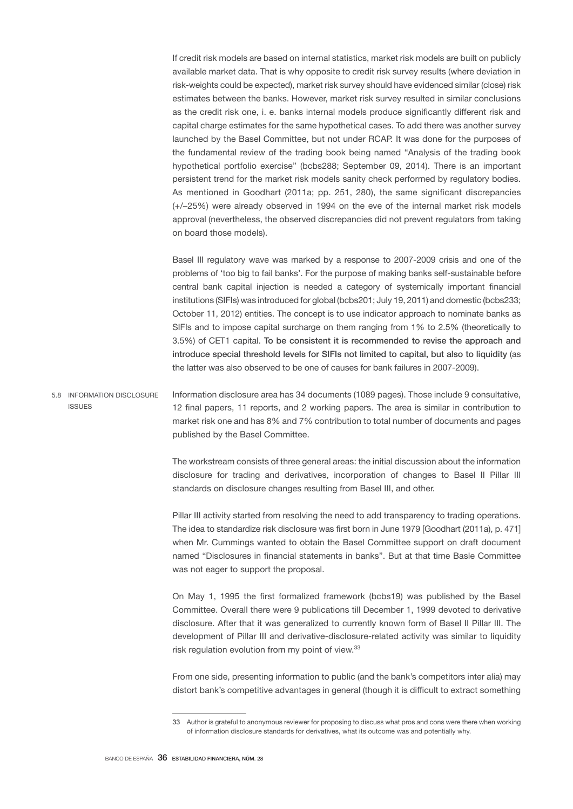If credit risk models are based on internal statistics, market risk models are built on publicly available market data. That is why opposite to credit risk survey results (where deviation in risk-weights could be expected), market risk survey should have evidenced similar (close) risk estimates between the banks. However, market risk survey resulted in similar conclusions as the credit risk one, i. e. banks internal models produce significantly different risk and capital charge estimates for the same hypothetical cases. To add there was another survey launched by the Basel Committee, but not under RCAP. It was done for the purposes of the fundamental review of the trading book being named "Analysis of the trading book hypothetical portfolio exercise" (bcbs288; September 09, 2014). There is an important persistent trend for the market risk models sanity check performed by regulatory bodies. As mentioned in Goodhart (2011a; pp. 251, 280), the same significant discrepancies (+/–25%) were already observed in 1994 on the eve of the internal market risk models approval (nevertheless, the observed discrepancies did not prevent regulators from taking on board those models).

Basel III regulatory wave was marked by a response to 2007-2009 crisis and one of the problems of 'too big to fail banks'. For the purpose of making banks self-sustainable before central bank capital injection is needed a category of systemically important financial institutions (SIFIs) was introduced for global (bcbs201; July 19, 2011) and domestic (bcbs233; October 11, 2012) entities. The concept is to use indicator approach to nominate banks as SIFIs and to impose capital surcharge on them ranging from 1% to 2.5% (theoretically to 3.5%) of CET1 capital. To be consistent it is recommended to revise the approach and introduce special threshold levels for SIFIs not limited to capital, but also to liquidity (as the latter was also observed to be one of causes for bank failures in 2007-2009).

Information disclosure area has 34 documents (1089 pages). Those include 9 consultative, 12 final papers, 11 reports, and 2 working papers. The area is similar in contribution to market risk one and has 8% and 7% contribution to total number of documents and pages published by the Basel Committee. 5.8 INFORMATION DISCLOSURE ISSUES

> The workstream consists of three general areas: the initial discussion about the information disclosure for trading and derivatives, incorporation of changes to Basel II Pillar III standards on disclosure changes resulting from Basel III, and other.

> Pillar III activity started from resolving the need to add transparency to trading operations. The idea to standardize risk disclosure was first born in June 1979 [Goodhart (2011a), p. 471] when Mr. Cummings wanted to obtain the Basel Committee support on draft document named "Disclosures in financial statements in banks". But at that time Basle Committee was not eager to support the proposal.

> On May 1, 1995 the first formalized framework (bcbs19) was published by the Basel Committee. Overall there were 9 publications till December 1, 1999 devoted to derivative disclosure. After that it was generalized to currently known form of Basel II Pillar III. The development of Pillar III and derivative-disclosure-related activity was similar to liquidity risk regulation evolution from my point of view.<sup>33</sup>

> From one side, presenting information to public (and the bank's competitors inter alia) may distort bank's competitive advantages in general (though it is difficult to extract something

<sup>33</sup> Author is grateful to anonymous reviewer for proposing to discuss what pros and cons were there when working of information disclosure standards for derivatives, what its outcome was and potentially why.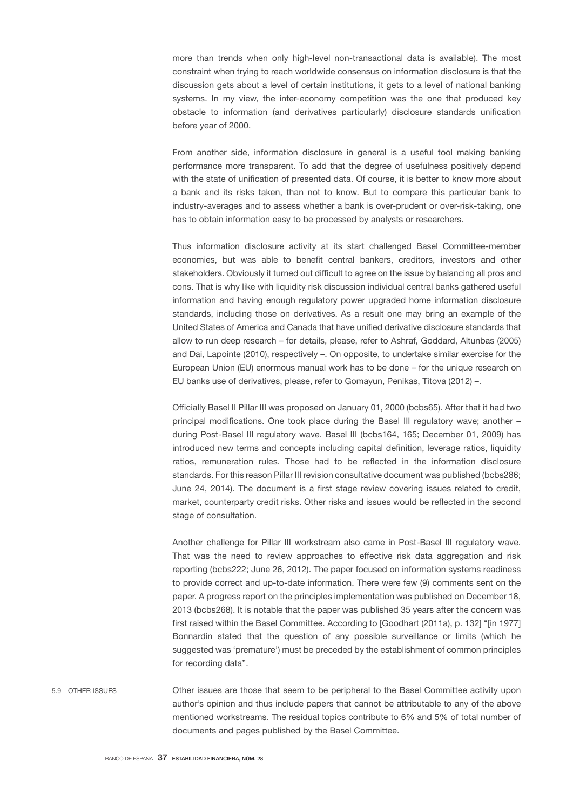more than trends when only high-level non-transactional data is available). The most constraint when trying to reach worldwide consensus on information disclosure is that the discussion gets about a level of certain institutions, it gets to a level of national banking systems. In my view, the inter-economy competition was the one that produced key obstacle to information (and derivatives particularly) disclosure standards unification before year of 2000.

From another side, information disclosure in general is a useful tool making banking performance more transparent. To add that the degree of usefulness positively depend with the state of unification of presented data. Of course, it is better to know more about a bank and its risks taken, than not to know. But to compare this particular bank to industry-averages and to assess whether a bank is over-prudent or over-risk-taking, one has to obtain information easy to be processed by analysts or researchers.

Thus information disclosure activity at its start challenged Basel Committee-member economies, but was able to benefit central bankers, creditors, investors and other stakeholders. Obviously it turned out difficult to agree on the issue by balancing all pros and cons. That is why like with liquidity risk discussion individual central banks gathered useful information and having enough regulatory power upgraded home information disclosure standards, including those on derivatives. As a result one may bring an example of the United States of America and Canada that have unified derivative disclosure standards that allow to run deep research – for details, please, refer to Ashraf, Goddard, Altunbas (2005) and Dai, Lapointe (2010), respectively –. On opposite, to undertake similar exercise for the European Union (EU) enormous manual work has to be done – for the unique research on EU banks use of derivatives, please, refer to Gomayun, Penikas, Titova (2012) –.

Officially Basel II Pillar III was proposed on January 01, 2000 (bcbs65). After that it had two principal modifications. One took place during the Basel III regulatory wave; another – during Post-Basel III regulatory wave. Basel III (bcbs164, 165; December 01, 2009) has introduced new terms and concepts including capital definition, leverage ratios, liquidity ratios, remuneration rules. Those had to be reflected in the information disclosure standards. For this reason Pillar III revision consultative document was published (bcbs286; June 24, 2014). The document is a first stage review covering issues related to credit, market, counterparty credit risks. Other risks and issues would be reflected in the second stage of consultation.

Another challenge for Pillar III workstream also came in Post-Basel III regulatory wave. That was the need to review approaches to effective risk data aggregation and risk reporting (bcbs222; June 26, 2012). The paper focused on information systems readiness to provide correct and up-to-date information. There were few (9) comments sent on the paper. A progress report on the principles implementation was published on December 18, 2013 (bcbs268). It is notable that the paper was published 35 years after the concern was first raised within the Basel Committee. According to [Goodhart (2011a), p. 132] "[in 1977] Bonnardin stated that the question of any possible surveillance or limits (which he suggested was 'premature') must be preceded by the establishment of common principles for recording data".

Other issues are those that seem to be peripheral to the Basel Committee activity upon author's opinion and thus include papers that cannot be attributable to any of the above mentioned workstreams. The residual topics contribute to 6% and 5% of total number of documents and pages published by the Basel Committee. 5.9 OTHER ISSUES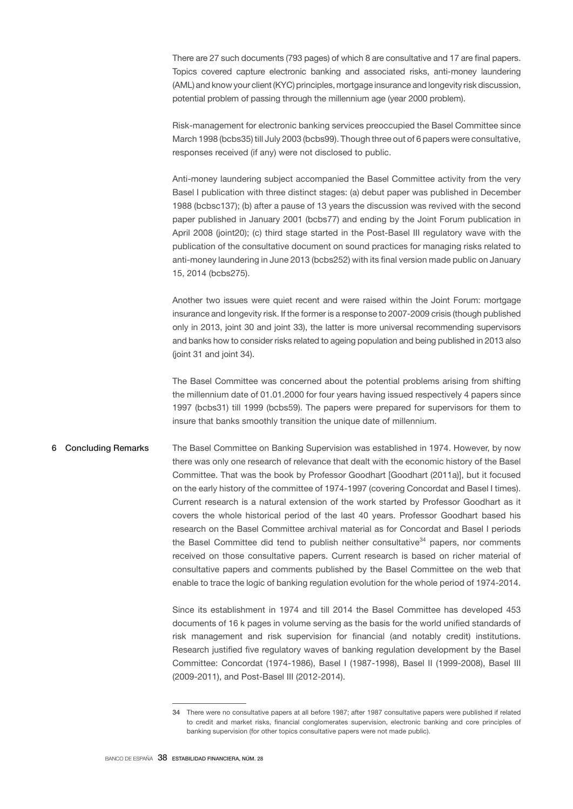There are 27 such documents (793 pages) of which 8 are consultative and 17 are final papers. Topics covered capture electronic banking and associated risks, anti-money laundering (AML) and know your client (KYC) principles, mortgage insurance and longevity risk discussion, potential problem of passing through the millennium age (year 2000 problem).

Risk-management for electronic banking services preoccupied the Basel Committee since March 1998 (bcbs35) till July 2003 (bcbs99). Though three out of 6 papers were consultative, responses received (if any) were not disclosed to public.

Anti-money laundering subject accompanied the Basel Committee activity from the very Basel I publication with three distinct stages: (a) debut paper was published in December 1988 (bcbsc137); (b) after a pause of 13 years the discussion was revived with the second paper published in January 2001 (bcbs77) and ending by the Joint Forum publication in April 2008 (joint20); (c) third stage started in the Post-Basel III regulatory wave with the publication of the consultative document on sound practices for managing risks related to anti-money laundering in June 2013 (bcbs252) with its final version made public on January 15, 2014 (bcbs275).

Another two issues were quiet recent and were raised within the Joint Forum: mortgage insurance and longevity risk. If the former is a response to 2007-2009 crisis (though published only in 2013, joint 30 and joint 33), the latter is more universal recommending supervisors and banks how to consider risks related to ageing population and being published in 2013 also (joint 31 and joint 34).

The Basel Committee was concerned about the potential problems arising from shifting the millennium date of 01.01.2000 for four years having issued respectively 4 papers since 1997 (bcbs31) till 1999 (bcbs59). The papers were prepared for supervisors for them to insure that banks smoothly transition the unique date of millennium.

# The Basel Committee on Banking Supervision was established in 1974. However, by now there was only one research of relevance that dealt with the economic history of the Basel Committee. That was the book by Professor Goodhart [Goodhart (2011a)], but it focused on the early history of the committee of 1974-1997 (covering Concordat and Basel I times). Current research is a natural extension of the work started by Professor Goodhart as it covers the whole historical period of the last 40 years. Professor Goodhart based his research on the Basel Committee archival material as for Concordat and Basel I periods the Basel Committee did tend to publish neither consultative $34$  papers, nor comments received on those consultative papers. Current research is based on richer material of consultative papers and comments published by the Basel Committee on the web that enable to trace the logic of banking regulation evolution for the whole period of 1974-2014. 6 Concluding Remarks

Since its establishment in 1974 and till 2014 the Basel Committee has developed 453 documents of 16 k pages in volume serving as the basis for the world unified standards of risk management and risk supervision for financial (and notably credit) institutions. Research justified five regulatory waves of banking regulation development by the Basel Committee: Concordat (1974-1986), Basel I (1987-1998), Basel II (1999-2008), Basel III (2009-2011), and Post-Basel III (2012-2014).

<sup>34</sup> There were no consultative papers at all before 1987; after 1987 consultative papers were published if related to credit and market risks, financial conglomerates supervision, electronic banking and core principles of banking supervision (for other topics consultative papers were not made public).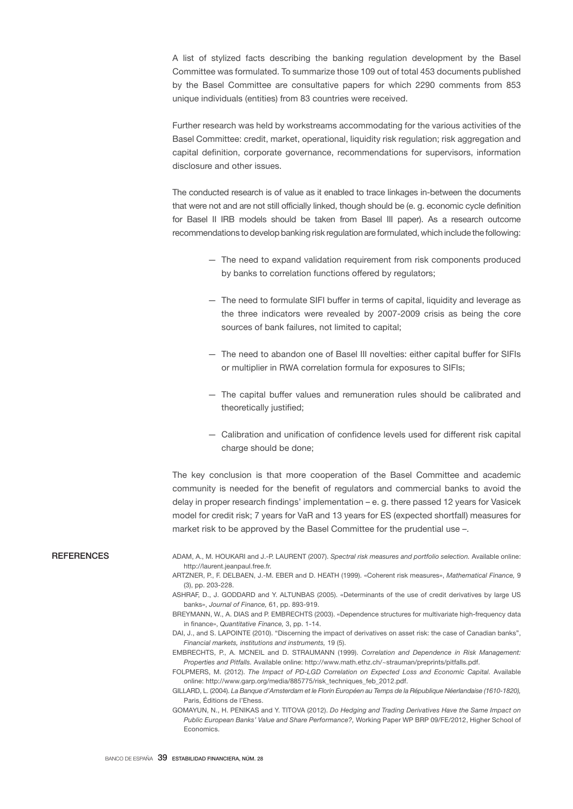A list of stylized facts describing the banking regulation development by the Basel Committee was formulated. To summarize those 109 out of total 453 documents published by the Basel Committee are consultative papers for which 2290 comments from 853 unique individuals (entities) from 83 countries were received.

Further research was held by workstreams accommodating for the various activities of the Basel Committee: credit, market, operational, liquidity risk regulation; risk aggregation and capital definition, corporate governance, recommendations for supervisors, information disclosure and other issues.

The conducted research is of value as it enabled to trace linkages in-between the documents that were not and are not still officially linked, though should be (e. g. economic cycle definition for Basel II IRB models should be taken from Basel III paper). As a research outcome recommendations to develop banking risk regulation are formulated, which include the following:

- The need to expand validation requirement from risk components produced by banks to correlation functions offered by regulators;
- The need to formulate SIFI buffer in terms of capital, liquidity and leverage as the three indicators were revealed by 2007-2009 crisis as being the core sources of bank failures, not limited to capital;
- The need to abandon one of Basel III novelties: either capital buffer for SIFIs or multiplier in RWA correlation formula for exposures to SIFIs;
- The capital buffer values and remuneration rules should be calibrated and theoretically justified:
- Calibration and unification of confidence levels used for different risk capital charge should be done:

The key conclusion is that more cooperation of the Basel Committee and academic community is needed for the benefit of regulators and commercial banks to avoid the delay in proper research findings' implementation – e. g. there passed 12 years for Vasicek model for credit risk; 7 years for VaR and 13 years for ES (expected shortfall) measures for market risk to be approved by the Basel Committee for the prudential use -.

## **REFERENCES**

- ADAM, A., M. HOUKARI and J.-P. LAURENT (2007). *Spectral risk measures and portfolio selection.* Available online: http://laurent.jeanpaul.free.fr.
- ARTZNER, P., F. DELBAEN, J.-M. EBER and D. HEATH (1999). «Coherent risk measures», *Mathematical Finance,* 9 (3), pp. 203-228.
- ASHRAF, D., J. GODDARD and Y. ALTUNBAS (2005). «Determinants of the use of credit derivatives by large US banks», *Journal of Finance,* 61, pp. 893-919.

DAI, J., and S. LAPOINTE (2010). "Discerning the impact of derivatives on asset risk: the case of Canadian banks", *Financial markets, institutions and instruments,* 19 (5).

EMBRECHTS, P., A. MCNEIL and D. STRAUMANN (1999). *Correlation and Dependence in Risk Management: Properties and Pitfalls.* Available online: http://www.math.ethz.ch/~strauman/preprints/pitfalls.pdf.

FOLPMERS, M. (2012). *The Impact of PD-LGD Correlation on Expected Loss and Economic Capital.* Available online: http://www.garp.org/media/885775/risk\_techniques\_feb\_2012.pdf.

BREYMANN, W., A. DIAS and P. EMBRECHTS (2003). «Dependence structures for multivariate high-frequency data in finance», *Quantitative Finance,* 3, pp. 1-14.

GILLARD, L. (2004). *La Banque d'Amsterdam et le Florin Européen au Temps de la République Néerlandaise (1610-1820),* Paris, Éditions de l'Ehess.

GOMAYUN, N., H. PENIKAS and Y. TITOVA (2012). *Do Hedging and Trading Derivatives Have the Same Impact on Public European Banks' Value and Share Performance?,* Working Paper WP BRP 09/FE/2012, Higher School of Economics.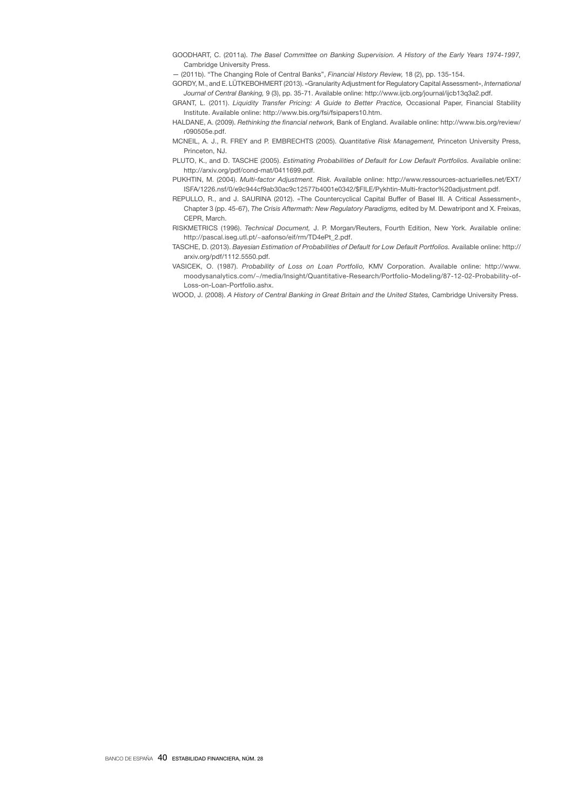GOODHART, C. (2011a). *The Basel Committee on Banking Supervision. A History of the Early Years 1974-1997,*  Cambridge University Press.

— (2011b). "The Changing Role of Central Banks", *Financial History Review,* 18 (2), pp. 135-154.

- GORDY, M., and E. LÜTKEBOHMERT (2013). «Granularity Adjustment for Regulatory Capital Assessment», *International Journal of Central Banking,* 9 (3), pp. 35-71. Available online: http://www.ijcb.org/journal/ijcb13q3a2.pdf.
- GRANT, L. (2011). *Liquidity Transfer Pricing: A Guide to Better Practice,* Occasional Paper, Financial Stability Institute. Available online: http://www.bis.org/fsi/fsipapers10.htm.
- HALDANE, A. (2009). *Rethinking the financial network,* Bank of England. Available online: http://www.bis.org/review/ r090505e.pdf.
- MCNEIL, A. J., R. FREY and P. EMBRECHTS (2005). *Quantitative Risk Management,* Princeton University Press, Princeton, NJ.
- PLUTO, K., and D. TASCHE (2005). *Estimating Probabilities of Default for Low Default Portfolios.* Available online: http://arxiv.org/pdf/cond-mat/0411699.pdf.
- PUKHTIN, M. (2004). *Multi-factor Adjustment. Risk.* Available online: http://www.ressources-actuarielles.net/EXT/ ISFA/1226.nsf/0/e9c944cf9ab30ac9c12577b4001e0342/\$FILE/Pykhtin-Multi-fractor%20adjustment.pdf.
- REPULLO, R., and J. SAURINA (2012). «The Countercyclical Capital Buffer of Basel III. A Critical Assessment», Chapter 3 (pp. 45-67), *The Crisis Aftermath: New Regulatory Paradigms,* edited by M. Dewatripont and X. Freixas, CEPR, March.
- RISKMETRICS (1996). *Technical Document,* J. P. Morgan/Reuters, Fourth Edition, New York. Available online: http://pascal.iseg.utl.pt/~aafonso/eif/rm/TD4ePt\_2.pdf.
- TASCHE, D. (2013). *Bayesian Estimation of Probabilities of Default for Low Default Portfolios.* Available online: http:// arxiv.org/pdf/1112.5550.pdf.
- VASICEK, O. (1987). *Probability of Loss on Loan Portfolio,* KMV Corporation. Available online: http://www. moodysanalytics.com/~/media/Insight/Quantitative-Research/Portfolio-Modeling/87-12-02-Probability-of-Loss-on-Loan-Portfolio.ashx.
- WOOD, J. (2008). *A History of Central Banking in Great Britain and the United States,* Cambridge University Press.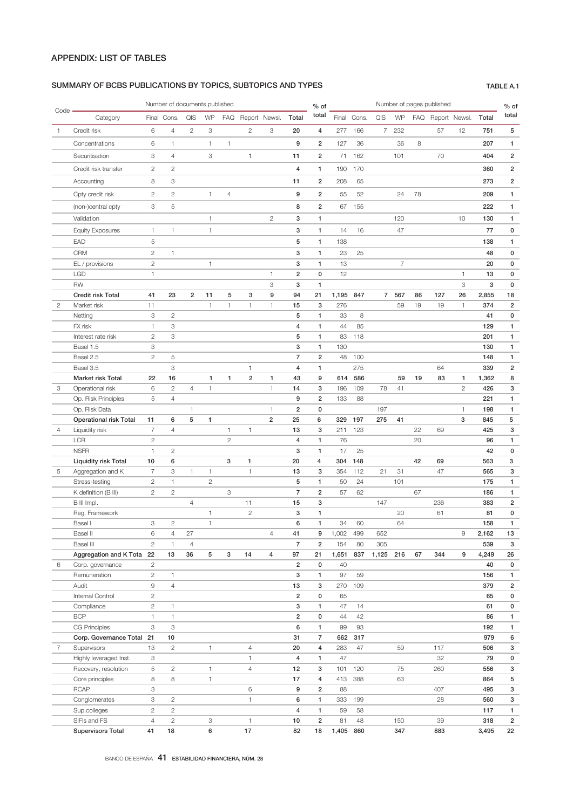## SUMMARY OF BCBS PUBLICATIONS BY TOPICS, SUBTOPICS AND TYPES TABLE A.1

|                |                                                 |                     | Number of documents published |                      |              |                |                         |                                |                      | $%$ of              |              |             | Number of pages published |                |    | $%$ of            |                   |              |                         |
|----------------|-------------------------------------------------|---------------------|-------------------------------|----------------------|--------------|----------------|-------------------------|--------------------------------|----------------------|---------------------|--------------|-------------|---------------------------|----------------|----|-------------------|-------------------|--------------|-------------------------|
| Code           | Category                                        |                     | Final Cons.                   | QIS                  | WP           |                | FAQ Report Newsl.       |                                | Total                | total               |              | Final Cons. | QIS                       | WP             |    | FAQ Report Newsl. |                   | Total        | total                   |
| $\mathbf{1}$   | Credit risk                                     | 6                   | $\overline{4}$                | $\mathbf{2}$         | 3            |                | $\mathbf{2}$            | 3                              | 20                   | 4                   | 277          | 166         | $\overline{7}$            | 232            |    | 57                | 12                | 751          | 5                       |
|                | Concentrations                                  | 6                   | $\mathbf{1}$                  |                      | 1            | 1              |                         |                                | 9                    | $\overline{2}$      | 127          | 36          |                           | 36             | 8  |                   |                   | 207          | 1                       |
|                | Securitisation                                  | 3                   | $\overline{4}$                |                      | 3            |                | $\mathbf{1}$            |                                | 11                   | 2                   | 71           | 162         |                           | 101            |    | 70                |                   | 404          | $\overline{2}$          |
|                | Credit risk transfer                            | $\overline{c}$      | $\overline{2}$                |                      |              |                |                         |                                | $\overline{4}$       | 1                   | 190          | 170         |                           |                |    |                   |                   | 360          | $\overline{2}$          |
|                | Accounting                                      | 8                   | 3                             |                      |              |                |                         |                                | 11                   | $\overline{2}$      | 208          | 65          |                           |                |    |                   |                   | 273          | $\overline{\mathbf{c}}$ |
|                | Cpty credit risk                                | $\overline{c}$      | $\overline{c}$                |                      | $\mathbf{1}$ | $\overline{4}$ |                         |                                | 9                    | $\overline{2}$      | 55           | 52          |                           | 24             | 78 |                   |                   | 209          | 1                       |
|                |                                                 |                     |                               |                      |              |                |                         |                                |                      |                     |              |             |                           |                |    |                   |                   |              |                         |
|                | (non-)central cpty                              | 3                   | 5                             |                      |              |                |                         |                                | 8                    | $\overline{2}$      | 67           | 155         |                           |                |    |                   |                   | 222          | 1                       |
|                | Validation                                      |                     |                               |                      | $\mathbf{1}$ |                |                         | $\overline{c}$                 | 3                    | 1                   |              |             |                           | 120            |    |                   | 10                | 130          | 1                       |
|                | <b>Equity Exposures</b>                         | $\mathbf{1}$        | $\mathbf{1}$                  |                      | $\mathbf{1}$ |                |                         |                                | 3                    | 1                   | 14           | 16          |                           | 47             |    |                   |                   | 77           | 0                       |
|                | EAD                                             | 5                   |                               |                      |              |                |                         |                                | 5                    | 1                   | 138          |             |                           |                |    |                   |                   | 138          | $\mathbf{1}$            |
|                | <b>CRM</b>                                      | $\overline{c}$      | $\mathbf{1}$                  |                      |              |                |                         |                                | 3                    | 1                   | 23           | 25          |                           |                |    |                   |                   | 48           | 0                       |
|                | EL / provisions                                 | $\mathbf{2}$        |                               |                      | $\mathbf{1}$ |                |                         |                                | 3                    | $\mathbf{1}$        | 13           |             |                           | $\overline{7}$ |    |                   |                   | 20           | 0                       |
|                | <b>LGD</b><br><b>RW</b>                         | $\mathbf{1}$        |                               |                      |              |                |                         | $\mathbf{1}$<br>3              | 2<br>3               | 0<br>1              | 12           |             |                           |                |    |                   | $\mathbf{1}$<br>3 | 13<br>3      | 0<br>0                  |
|                | <b>Credit risk Total</b>                        | 41                  | 23                            | $\overline{2}$       | 11           | 5              | 3                       | 9                              | 94                   | 21                  | 1,195        | 847         | $\overline{7}$            | 567            | 86 | 127               | 26                | 2,855        | 18                      |
| $\overline{2}$ | Market risk                                     | 11                  |                               |                      | $\mathbf{1}$ | $\mathbf{1}$   | $\mathbf{1}$            | $\mathbf{1}$                   | 15                   | 3                   | 276          |             |                           | 59             | 19 | 19                | $\mathbf{1}$      | 374          | $\overline{\mathbf{c}}$ |
|                | Netting                                         | 3                   | $\overline{2}$                |                      |              |                |                         |                                | 5                    | $\mathbf{1}$        | 33           | 8           |                           |                |    |                   |                   | 41           | 0                       |
|                | FX risk                                         | $\mathbf{1}$        | 3                             |                      |              |                |                         |                                | 4                    | $\mathbf{1}$        | 44           | 85          |                           |                |    |                   |                   | 129          | 1                       |
|                | Interest rate risk                              | $\mathbf{2}$        | 3                             |                      |              |                |                         |                                | 5                    | 1                   | 83           | 118         |                           |                |    |                   |                   | 201          | 1                       |
|                | Basel 1.5                                       | 3                   |                               |                      |              |                |                         |                                | 3                    | $\mathbf{1}$        | 130          |             |                           |                |    |                   |                   | 130          | 1                       |
|                | Basel 2.5                                       | $\overline{c}$      | 5                             |                      |              |                |                         |                                | $\overline{7}$       | $\overline{2}$      | 48           | 100         |                           |                |    |                   |                   | 148          | 1                       |
|                | Basel 3.5                                       |                     | 3                             |                      |              |                | $\mathbf{1}$            |                                | $\overline{4}$       | 1                   |              | 275         |                           |                |    | 64                |                   | 339          | $\overline{2}$          |
|                | Market risk Total                               | 22                  | 16                            |                      | $\mathbf{1}$ | 1              | $\overline{\mathbf{c}}$ | 1                              | 43                   | 9                   | 614          | 586         |                           | 59             | 19 | 83                | 1                 | 1,362        | 8                       |
| 3              | Operational risk                                | 6                   | $\mathbf{2}$                  | $\overline{4}$       | $\mathbf{1}$ |                |                         | $\mathbf{1}$                   | 14                   | 3                   | 196          | 109         | 78                        | 41             |    |                   | $\mathbf{2}$      | 426          | 3                       |
|                | Op. Risk Principles                             | 5                   | $\overline{4}$                |                      |              |                |                         |                                | 9                    | $\overline{2}$      | 133          | 88          |                           |                |    |                   |                   | 221          | $\mathbf{1}$            |
|                | Op. Risk Data                                   | 11                  | 6                             | $\mathbf{1}$<br>5    | $\mathbf{1}$ |                |                         | $\mathbf{1}$<br>$\overline{2}$ | $\overline{2}$<br>25 | 0<br>6              | 329          | 197         | 197<br>275                | 41             |    |                   | $\mathbf{1}$<br>3 | 198<br>845   | 1<br>5                  |
| $\overline{4}$ | <b>Operational risk Total</b><br>Liquidity risk | $\overline{7}$      | $\sqrt{4}$                    |                      |              | $\mathbf{1}$   | $\mathbf{1}$            |                                | 13                   | 3                   | 211          | 123         |                           |                | 22 | 69                |                   | 425          | 3                       |
|                | LCR                                             | $\mathbf{2}$        |                               |                      |              | $\overline{c}$ |                         |                                | $\overline{4}$       | 1                   | 76           |             |                           |                | 20 |                   |                   | 96           | 1                       |
|                | <b>NSFR</b>                                     | $\mathbf{1}$        | $\mathbf{2}$                  |                      |              |                |                         |                                | 3                    | 1                   | 17           | 25          |                           |                |    |                   |                   | 42           | 0                       |
|                | Liquidity risk Total                            | 10                  | 6                             |                      |              | 3              | 1                       |                                | 20                   | $\overline{4}$      | 304          | 148         |                           |                | 42 | 69                |                   | 563          | 3                       |
| 5              | Aggregation and K                               | $\overline{7}$      | 3                             | $\mathbf{1}$         | $\mathbf{1}$ |                | $\mathbf{1}$            |                                | 13                   | 3                   | 354          | 112         | 21                        | 31             |    | 47                |                   | 565          | 3                       |
|                | Stress-testing                                  | $\mathbf{2}$        | 1                             |                      | $\mathbf{2}$ |                |                         |                                | 5                    | 1                   | 50           | 24          |                           | 101            |    |                   |                   | 175          | 1                       |
|                | K definition (B III)                            | $\mathbf{2}$        | $\mathbf{2}$                  |                      |              | 3              |                         |                                | $\overline{7}$       | $\overline{2}$      | 57           | 62          |                           |                | 67 |                   |                   | 186          | 1                       |
|                | B III Impl.                                     |                     |                               | $\overline{4}$       |              |                | 11                      |                                | 15                   | 3                   |              |             | 147                       |                |    | 236               |                   | 383          | $\overline{2}$          |
|                | Reg. Framework                                  |                     |                               |                      | $\mathbf{1}$ |                | $\overline{c}$          |                                | 3                    | $\blacksquare$      |              |             |                           | 20             |    | 61                |                   | 81           | 0                       |
|                | Basel I                                         | 3                   | $\overline{c}$                |                      | $\mathbf{1}$ |                |                         |                                | 6                    | 1                   | 34           | 60          |                           | 64             |    |                   |                   | 158          | 1                       |
|                | Basel II<br>Basel III                           | 6<br>$\overline{c}$ | 4<br>$\mathbf{1}$             | 27<br>$\overline{4}$ |              |                |                         | 4                              | 41<br>$\overline{7}$ | 9<br>$\overline{2}$ | 1,002<br>154 | 499<br>80   | 652<br>305                |                |    |                   | 9                 | 2,162<br>539 | 13<br>3                 |
|                | Aggregation and K Tota 22                       |                     | 13                            | 36                   | 5            | 3              | 14                      | 4                              | 97                   | 21                  | 1,651        | 837         | 1,125 216                 |                | 67 | 344               | 9                 | 4,249        | 26                      |
| 6              | Corp. governance                                | $\overline{c}$      |                               |                      |              |                |                         |                                | $\overline{2}$       | 0                   | 40           |             |                           |                |    |                   |                   | 40           | 0                       |
|                | Remuneration                                    | $\mathbf{2}$        | $\mathbf{1}$                  |                      |              |                |                         |                                | 3                    | 1                   | 97           | 59          |                           |                |    |                   |                   | 156          | 1                       |
|                | Audit                                           | 9                   | $\overline{4}$                |                      |              |                |                         |                                | 13                   | 3                   | 270          | 109         |                           |                |    |                   |                   | 379          | $\overline{2}$          |
|                | Internal Control                                | $\overline{c}$      |                               |                      |              |                |                         |                                | $\overline{2}$       | 0                   | 65           |             |                           |                |    |                   |                   | 65           | 0                       |
|                | Compliance                                      | $\mathbf{2}$        | $\mathbf{1}$                  |                      |              |                |                         |                                | 3                    | 1                   | 47           | 14          |                           |                |    |                   |                   | 61           | 0                       |
|                | <b>BCP</b>                                      | 1                   | $\mathbf{1}$                  |                      |              |                |                         |                                | $\overline{2}$       | 0                   | 44           | 42          |                           |                |    |                   |                   | 86           | 1                       |
|                | <b>CG Principles</b>                            | 3                   | 3                             |                      |              |                |                         |                                | 6                    | 1                   | 99           | 93          |                           |                |    |                   |                   | 192          | 1                       |
|                | Corp. Governance Total 21                       |                     | 10                            |                      |              |                |                         |                                | 31                   | 7                   | 662          | 317         |                           |                |    |                   |                   | 979          | 6                       |
| $\overline{7}$ | Supervisors                                     | 13                  | $\mathbf{2}$                  |                      | 1            |                | $\overline{4}$          |                                | 20                   | 4                   | 283          | 47          |                           | 59             |    | 117               |                   | 506          | 3                       |
|                | Highly leveraged Inst.                          | 3                   |                               |                      |              |                | $\mathbf{1}$            |                                | 4                    | 1                   | 47           |             |                           |                |    | 32                |                   | 79           | 0                       |
|                | Recovery, resolution                            | 5                   | $\overline{c}$                |                      | $\mathbf{1}$ |                | $\overline{4}$          |                                | 12                   | 3                   | 101          | 120         |                           | 75             |    | 260               |                   | 556          | 3                       |
|                | Core principles<br><b>RCAP</b>                  | 8<br>3              | 8                             |                      | $\mathbf{1}$ |                | 6                       |                                | 17<br>9              | 4<br>$\overline{2}$ | 413<br>88    | 388         |                           | 63             |    | 407               |                   | 864<br>495   | 5<br>3                  |
|                | Conglomerates                                   | 3                   | $\overline{c}$                |                      |              |                | $\mathbf{1}$            |                                | 6                    | 1                   |              | 333 199     |                           |                |    | 28                |                   | 560          | 3                       |
|                | Sup.colleges                                    | $\mathbf{2}$        | $\mathbf{2}$                  |                      |              |                |                         |                                | 4                    | 1                   | 59           | 58          |                           |                |    |                   |                   | 117          | 1                       |
|                | SIFIs and FS                                    | $\overline{4}$      | $\sqrt{2}$                    |                      | 3            |                | $\mathbf{1}$            |                                | 10                   | $\overline{2}$      | 81           | 48          |                           | 150            |    | 39                |                   | 318          | $\overline{2}$          |
|                | <b>Supervisors Total</b>                        | 41                  | 18                            |                      | 6            |                | 17                      |                                | 82                   | 18                  | 1,405 860    |             |                           | 347            |    | 883               |                   | 3,495        | 22                      |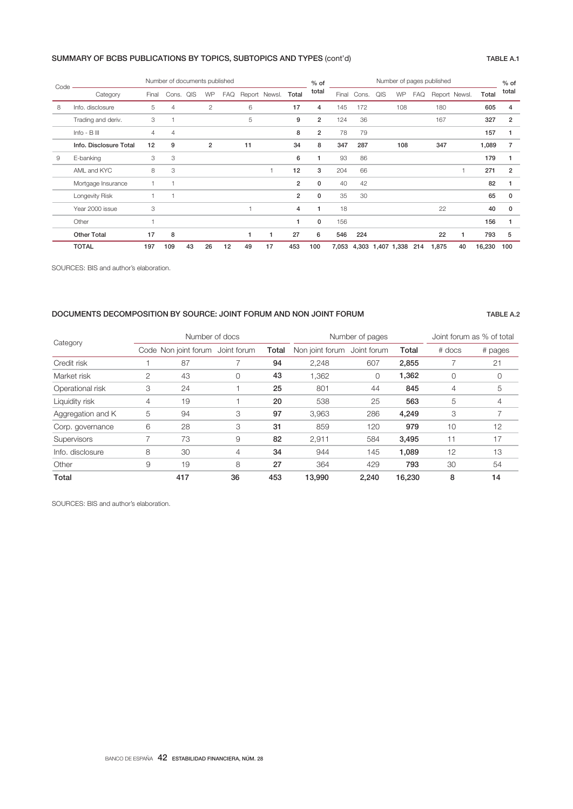# SUMMARY OF BCBS PUBLICATIONS BY TOPICS, SUBTOPICS AND TYPES (cont'd) TABLE A.1

| Code |                        | Number of documents published |                |    |                |     |    |                     |                | $%$ of         | Number of pages published |                       |     |     |            |               |    | $%$ of |                |
|------|------------------------|-------------------------------|----------------|----|----------------|-----|----|---------------------|----------------|----------------|---------------------------|-----------------------|-----|-----|------------|---------------|----|--------|----------------|
|      | Category               | Final                         | Cons. QIS      |    | WP             | FAQ |    | Report Newsl. Total |                | total          | Final                     | Cons.                 | QIS | WP  | <b>FAQ</b> | Report Newsl. |    | Total  | total          |
| 8    | Info. disclosure       | 5                             | 4              |    | $\overline{c}$ |     | 6  |                     | 17             | 4              | 145                       | 172                   |     | 108 |            | 180           |    | 605    | 4              |
|      | Trading and deriv.     | 3                             |                |    |                |     | 5  |                     | 9              | $\overline{2}$ | 124                       | 36                    |     |     |            | 167           |    | 327    | $\overline{2}$ |
|      | $Info - B$ $III$       | $\overline{4}$                | $\overline{4}$ |    |                |     |    |                     | 8              | $\overline{2}$ | 78                        | 79                    |     |     |            |               |    | 157    |                |
|      | Info. Disclosure Total | 12                            | 9              |    | $\overline{2}$ |     | 11 |                     | 34             | 8              | 347                       | 287                   |     | 108 |            | 347           |    | 1,089  | 7              |
| 9    | E-banking              | 3                             | 3              |    |                |     |    |                     | 6              | 1              | 93                        | 86                    |     |     |            |               |    | 179    |                |
|      | AML and KYC            | 8                             | 3              |    |                |     |    |                     | 12             | 3              | 204                       | 66                    |     |     |            |               |    | 271    | $\overline{2}$ |
|      | Mortgage Insurance     |                               |                |    |                |     |    |                     | $\overline{2}$ | $\mathbf{0}$   | 40                        | 42                    |     |     |            |               |    | 82     |                |
|      | Longevity Risk         |                               |                |    |                |     |    |                     | $\overline{2}$ | $\mathbf{0}$   | 35                        | 30                    |     |     |            |               |    | 65     | $\Omega$       |
|      | Year 2000 issue        | 3                             |                |    |                |     |    |                     | 4              |                | 18                        |                       |     |     |            | 22            |    | 40     | $\Omega$       |
|      | Other                  |                               |                |    |                |     |    |                     |                | 0              | 156                       |                       |     |     |            |               |    | 156    |                |
|      | <b>Other Total</b>     | 17                            | 8              |    |                |     |    |                     | 27             | 6              | 546                       | 224                   |     |     |            | 22            |    | 793    | 5              |
|      | <b>TOTAL</b>           | 197                           | 109            | 43 | 26             | 12  | 49 | 17                  | 453            | 100            | 7,053                     | 4,303 1,407 1,338 214 |     |     |            | 1,875         | 40 | 16,230 | 100            |

SOURCES: BIS and author's elaboration.

## DOCUMENTS DECOMPOSITION BY SOURCE: JOINT FORUM AND NON JOINT FORUM **TABLE A.2**

| Category          |                | Number of docs       |             |       |                             | Number of pages | Joint forum as % of total |        |         |
|-------------------|----------------|----------------------|-------------|-------|-----------------------------|-----------------|---------------------------|--------|---------|
|                   |                | Code Non joint forum | Joint forum | Total | Non joint forum Joint forum |                 | Total                     | # docs | # pages |
| Credit risk       |                | 87                   |             | 94    | 2,248                       | 607             | 2,855                     |        | 21      |
| Market risk       | $\overline{2}$ | 43                   | 0           | 43    | 1,362                       | 0               | 1,362                     | 0      | 0       |
| Operational risk  | 3              | 24                   |             | 25    | 801                         | 44              | 845                       | 4      | 5       |
| Liquidity risk    | 4              | 19                   |             | 20    | 538                         | 25              | 563                       | 5      | 4       |
| Aggregation and K | 5              | 94                   | 3           | 97    | 3,963                       | 286             | 4,249                     | 3      |         |
| Corp. governance  | 6              | 28                   | 3           | 31    | 859                         | 120             | 979                       | 10     | 12      |
| Supervisors       |                | 73                   | 9           | 82    | 2,911                       | 584             | 3,495                     | 11     | 17      |
| Info. disclosure  | 8              | 30                   | 4           | 34    | 944                         | 145             | 1,089                     | 12     | 13      |
| Other             | 9              | 19                   | 8           | 27    | 364                         | 429             | 793                       | 30     | 54      |
| Total             |                | 417                  | 36          | 453   | 13.990                      | 2.240           | 16.230                    | 8      | 14      |

SOURCES: BIS and author's elaboration.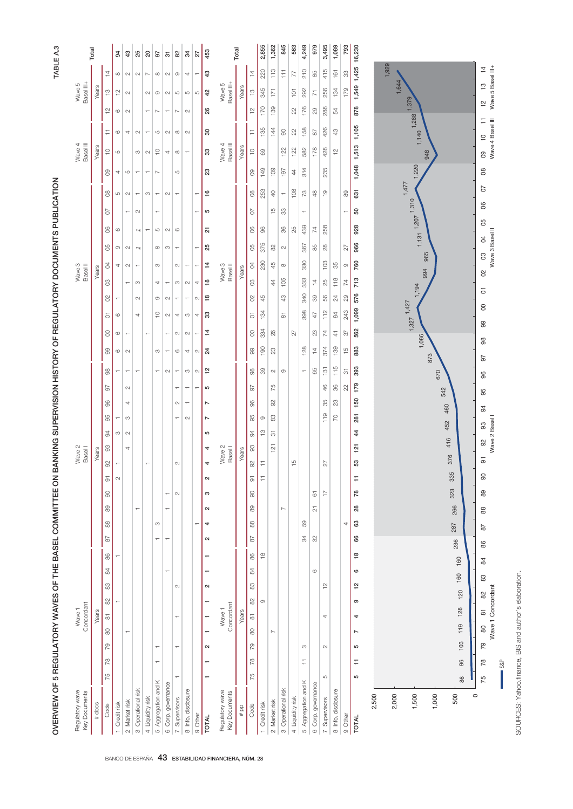|                                       | ١<br> <br> <br> <br> <br>ׇׇ֠֕֡<br>I                                                                                                                                         |
|---------------------------------------|-----------------------------------------------------------------------------------------------------------------------------------------------------------------------------|
|                                       | i<br>I                                                                                                                                                                      |
|                                       | N BANKING SI IBEDVISION HISTORY OF BEGIN ATOPY DOVING INTERITS DI IBI OATION<br>$\frac{1}{2}$<br>$\vdots$<br>I<br> <br> <br> <br> <br> <br> <br> <br> <br> <br><br><br><br> |
|                                       | <br> <br> <br>                                                                                                                                                              |
|                                       | I<br>ļ<br>j<br>l<br>ı<br>and the state of the state of the state of the state of the state of the state of the state of the state of th                                     |
| $\begin{array}{c} \hline \end{array}$ | ׇ֚֓֡<br>J<br>I<br>l<br>l<br>י                                                                                                                                               |

TABLE A.3

|                                  | Total  |                                            | $\overline{5}$ | 43                       | 25                       | $\overline{20}$          | 97                       | $\overline{5}$           | 82                       | $\frac{3}{4}$            | 27                       | 453                  |                                  | Total            |                                            | 2,855                           | 1,362          | 845                      | 563              | 4,249                    | 979                          | 3,495                    | 1,089              | 793                | 16,230              |       |       |                         |            |
|----------------------------------|--------|--------------------------------------------|----------------|--------------------------|--------------------------|--------------------------|--------------------------|--------------------------|--------------------------|--------------------------|--------------------------|----------------------|----------------------------------|------------------|--------------------------------------------|---------------------------------|----------------|--------------------------|------------------|--------------------------|------------------------------|--------------------------|--------------------|--------------------|---------------------|-------|-------|-------------------------|------------|
|                                  |        | 14                                         | $\infty$       | $\sim$                   | $\sim$                   | $\overline{\phantom{a}}$ | $\infty$                 | $\sim$                   | $\circ$                  | 4                        | $\overline{\phantom{a}}$ | 43                   |                                  |                  | $\frac{1}{4}$                              | 220                             | 113            | H                        | 77               | 210                      | 85                           | 415                      | 161                | 8                  | 1,425               |       | 1,929 |                         |            |
| Basel III+<br>Wave 5             | Years  | $\frac{1}{2}$                              | 은              | $\sim$                   |                          | $\sim$                   | $\circ$                  | $\sim$                   | S                        | $\mathfrak{S}$           | S                        | 42                   | Basel III+<br>Wave 5             | Years            | $\frac{1}{2}$                              | 345                             | 171            |                          | $\overline{5}$   | 292                      | $\overline{z}$               | 256                      | 134                | 179                | 1,549               |       | 1,644 |                         |            |
|                                  |        | $\frac{1}{2}$                              | G              | $\sim$                   |                          | ÷                        | $\sim$                   | ÷                        | $\sim$                   | $\sim$                   |                          | 26                   |                                  |                  | $\frac{1}{2}$                              | 170                             | 139            |                          | 22               | 176                      | $_{\odot}$                   | 288                      | 54                 |                    | 878                 |       |       |                         |            |
|                                  |        | Ξ                                          | $\circ$        | 4                        | $\sim$                   | $\overline{ }$           | S                        | $\sim$                   | $\infty$                 | $\sim$                   |                          | $\rm{S}$             |                                  |                  | H                                          | 135                             | 144            | $\odot$                  | 22               | 158                      | $\overline{6}$               | 426                      | 43                 |                    | 1,105               |       |       | 1,140 1,268 1,379       |            |
| Wave 4<br>Basel III              | Years  | $\overset{\bigcirc}{\leftarrow}$           | LO.            |                          | S                        | $\sim$                   | $\supseteq$              | 4                        | $\infty$                 | $\overline{ }$           |                          | 33                   | Wave 4<br>Basel III              | Years            | $\frac{1}{2}$                              | 8                               |                | 122                      | 122              | 582                      | 178                          | 428                      | $\frac{1}{2}$      |                    | 1,513               |       |       |                         | 948        |
|                                  |        | $\infty$                                   | 4              | S                        | $\overline{\phantom{m}}$ | $\overline{\phantom{0}}$ | $\sim$                   |                          | S                        |                          |                          | 23                   |                                  |                  | 8O                                         | 149                             | 109            | 197                      | 4                | 314                      |                              | 235                      |                    |                    | 1,048               |       |       | 1,220                   |            |
|                                  |        | $8^{\circ}$                                | Ю              | $\sim$                   | $\overline{\phantom{0}}$ | S                        | $\overline{ }$           | $\sim$                   | $\overline{\phantom{a}}$ |                          | π                        | 16                   |                                  |                  | $\overline{0}$                             | 253                             | $\Theta$       | $\overline{\phantom{0}}$ | 108              | ζ2                       | $\frac{8}{3}$                | $\frac{1}{2}$            |                    | 89                 | 631                 |       |       | 1,477                   |            |
|                                  |        | 5                                          |                |                          | $\sim$                   |                          | $\overline{\phantom{0}}$ |                          |                          |                          | ↽                        | 5                    |                                  |                  | 5                                          |                                 | $\frac{10}{1}$ | ္တ                       |                  | $\overline{\phantom{0}}$ |                              |                          |                    | π                  | 50                  |       |       | $1,131$ $1,207$ $1,310$ |            |
|                                  |        | 8                                          | O              |                          | T                        | $\overline{\phantom{0}}$ | LO.                      | $\sim$                   | $\circ$                  |                          |                          | 5                    |                                  |                  | S                                          | $\ensuremath{\mathcal{S}}$      |                | 36                       | 25               | 439                      | 74                           | 258                      |                    |                    | 928                 |       |       |                         |            |
|                                  |        | 80                                         | $\infty$       | $\sim$                   | $\overline{ }$           |                          | $\infty$                 | S                        | $\overline{\phantom{0}}$ |                          | ÷                        | 25                   |                                  |                  | 95                                         | 375                             | 82             | $\sim$                   |                  | 367                      | 88                           | $^{28}$                  |                    | 72                 | 966                 |       |       |                         |            |
| Wave 3<br>Basel <sup>II</sup>    | Years  | S                                          | 4              | $\sim$                   | $\overline{\phantom{0}}$ |                          | S                        |                          | N                        | $\overline{\phantom{0}}$ | $\overline{ }$           | $\frac{4}{3}$        | Wave 3<br>Basel <sup>II</sup>    | Years            | S                                          | 230                             | 45             | $\infty$                 |                  | 330                      |                              | 103                      | 85                 | $\circ$            | 760                 |       |       |                         | 965<br>994 |
|                                  |        | S                                          |                | $\overline{ }$           | S                        |                          | 4                        | $\overline{\phantom{a}}$ | S                        | $\sim$                   | 4                        | $\overset{\circ}{=}$ |                                  |                  | S                                          |                                 | 44             | 105                      |                  | 333                      | $\overline{4}$               | 25                       | 118                | $\overline{74}$    | 713                 |       |       | 1,194                   |            |
|                                  |        | $\delta$                                   | ↽              |                          | $\mathbf{\sim}$          |                          | O                        | $\sim$                   | $\overline{\phantom{0}}$ | $\overline{\phantom{0}}$ | $\sim$                   | $\frac{8}{10}$       |                                  |                  | $\approx$                                  | 45                              |                | 43                       |                  | 340                      | 89                           | 56                       | 24                 | $_{29}$            | 576                 |       |       |                         |            |
|                                  |        | 5                                          | O              |                          | 4                        |                          | ₽                        | $\sim$                   | 4                        | S                        | 4                        | ౢ                    |                                  |                  | 5                                          | 134                             |                | $\overline{\infty}$      |                  | 398                      | 47                           | 112                      | $\,^\text{a}$      | 243                | 1,099               |       |       | $1,327$ $1,427$         |            |
|                                  |        | 8                                          | G              | $\overline{\phantom{0}}$ |                          | ÷                        |                          | ÷                        | $\sim$                   | $\sim$                   | $\overline{ }$           | $\frac{1}{4}$        |                                  |                  | 8                                          | 334                             | 26             |                          | 27               |                          | 23                           | 74                       | $\frac{4}{7}$      | 57                 | 562                 |       |       |                         | 1,086      |
|                                  |        | 8                                          | 6              | $\mathbb{C}$             |                          |                          | თ                        | $\overline{ }$           | G                        | 4                        | $\mathbb{C}^2$           | 24                   |                                  |                  | 99                                         | 190                             | $^{23}$        |                          |                  | 128                      | $\overline{4}$               | 374                      | 139                | $\frac{15}{2}$     | 883                 |       |       |                         | 873        |
|                                  |        | 8                                          |                | ÷                        | ┯                        |                          | $\overline{ }$           | $\sim$                   | ÷                        | $_{\odot}$               | $\mathsf{\sim}$          | $\frac{1}{2}$        |                                  |                  | 8                                          | 8                               | $\sim$         | $\infty$                 |                  | $\overline{\phantom{0}}$ | 65                           | 131                      | 115                | $\overline{\circ}$ | 393                 |       |       |                         | <b>G70</b> |
|                                  |        | 67                                         |                | $\sim$                   |                          |                          |                          |                          | ↽                        | ÷                        | ÷                        | 5                    |                                  |                  | 50                                         |                                 | 75             |                          |                  |                          |                              | $\frac{6}{5}$            | 86                 | $^{22}$            | 179                 |       |       |                         |            |
|                                  |        | $\frac{6}{2}$                              |                | 4                        |                          |                          |                          |                          | $\sim$                   | ÷                        |                          | $\overline{ }$       |                                  |                  | 86                                         |                                 | 95             |                          |                  |                          |                              | 35                       | $\mathbb{S}^3$     |                    | 150                 |       |       |                         |            |
|                                  |        | 95                                         | S              | S<br>$\sim$              |                          |                          |                          |                          | ÷                        | $\sim$                   |                          | $\overline{ }$<br>5  |                                  |                  | န္တ                                        | $\circledcirc$<br>$\frac{1}{2}$ | 83             |                          |                  |                          |                              | 119                      | 20                 |                    | 281<br>44           |       |       |                         |            |
|                                  |        | 94<br>$\ensuremath{\mathcal{S}}$           |                | 4                        |                          |                          |                          |                          |                          |                          |                          | 4                    |                                  |                  | 94<br>SS                                   |                                 | 5<br>121       |                          |                  |                          |                              |                          |                    |                    | 121                 |       |       |                         |            |
| Wave 2<br><b>Basell</b>          | Years  | $\infty$                                   | ↽              |                          |                          | $\overline{\phantom{0}}$ |                          |                          | $\sim$                   |                          |                          | 4                    | Wave 2<br><b>Basell</b>          | Years            | $\frac{1}{2}$                              | Ξ                               |                |                          | $\frac{15}{1}$   |                          |                              | 27                       |                    |                    | 53                  |       |       |                         |            |
|                                  |        | $\overline{\circ}$                         | $\sim$         |                          |                          |                          |                          |                          |                          |                          |                          | $\sim$               |                                  |                  | $\overline{\circ}$                         | Ξ                               |                |                          |                  |                          |                              |                          |                    |                    | F                   |       |       |                         |            |
|                                  |        | $\ensuremath{\mathsf{S}}$                  |                |                          |                          |                          |                          | ÷                        | $\sim$                   |                          |                          | S                    |                                  |                  | 8                                          |                                 |                |                          |                  |                          | $\overleftarrow{\mathrm{o}}$ | $\overline{\phantom{0}}$ |                    |                    | 78                  |       |       |                         |            |
|                                  |        | $89$                                       |                |                          | $\overline{\phantom{0}}$ |                          |                          | ÷                        |                          |                          |                          | $\sim$               |                                  |                  | 89                                         |                                 |                | $\sim$                   |                  |                          | $\overline{\mathcal{L}}$     |                          |                    |                    | 28                  |       |       |                         |            |
|                                  |        | $88$                                       |                |                          |                          |                          | S                        |                          |                          |                          | ۳                        | 4                    |                                  |                  | 88                                         |                                 |                |                          |                  | 89                       |                              |                          |                    | 4                  | 63                  |       |       |                         |            |
|                                  |        | $\approx$                                  |                |                          |                          |                          |                          | ٣                        |                          |                          |                          | $\boldsymbol{\sim}$  |                                  |                  | $\approx$                                  |                                 |                |                          |                  | 34                       | 32                           |                          |                    |                    | 66                  |       |       |                         |            |
|                                  |        | $88$                                       |                |                          |                          |                          |                          |                          |                          |                          |                          |                      |                                  |                  | 86                                         | $\frac{\infty}{\infty}$         |                |                          |                  |                          |                              |                          |                    |                    | $\frac{8}{1}$       |       |       |                         |            |
|                                  |        | $\frac{8}{4}$                              |                |                          |                          |                          |                          | ۳                        |                          |                          |                          |                      |                                  |                  | 84                                         |                                 |                |                          |                  |                          | $\circ$                      |                          |                    |                    | 6                   |       |       |                         |            |
|                                  |        | $\stackrel{\leftrightarrow}{\infty}$       |                |                          |                          |                          |                          |                          | $\sim$                   |                          |                          | $\boldsymbol{\sim}$  |                                  |                  | 83                                         |                                 |                |                          |                  |                          |                              | $\frac{1}{2}$            |                    |                    | 12                  |       |       |                         |            |
|                                  |        | $\approx$                                  |                |                          |                          |                          |                          |                          |                          |                          |                          |                      |                                  |                  | 82                                         | $\circledcirc$                  |                |                          |                  |                          |                              |                          |                    |                    | ၜ                   |       |       |                         |            |
| Concordant<br>Wave 1             | Years  | $\overleftarrow{\infty}$<br>$\rm ^{\rm 6}$ |                |                          |                          |                          |                          |                          | ↽                        |                          |                          |                      | Concordant<br>Wave <sub>1</sub>  | Years            | $\overleftarrow{\infty}$<br>$\rm ^{\rm 8}$ |                                 |                |                          |                  |                          |                              | 4                        |                    |                    | 4                   |       |       |                         |            |
|                                  |        | 79                                         |                | ÷                        |                          |                          | $\overline{\phantom{0}}$ |                          | ÷                        |                          |                          | $\mathbf{\Omega}$    |                                  |                  | 79                                         |                                 | N              |                          |                  | S                        |                              | $\sim$                   |                    |                    | $\overline{ }$<br>ယ |       |       |                         |            |
|                                  |        | 78                                         |                |                          |                          |                          | π                        |                          |                          |                          |                          |                      |                                  |                  | 78                                         |                                 |                |                          |                  | Ξ                        |                              |                          |                    |                    | Ξ                   |       |       |                         |            |
|                                  |        | 75                                         |                |                          |                          |                          |                          |                          | ÷                        |                          |                          |                      |                                  |                  | 75                                         |                                 |                |                          |                  |                          |                              | LO                       |                    |                    | Б                   |       |       |                         |            |
|                                  |        |                                            |                |                          |                          |                          |                          |                          |                          |                          |                          |                      |                                  |                  |                                            |                                 |                |                          |                  |                          |                              |                          |                    |                    |                     |       |       |                         |            |
| Regulatory wave<br>Key Documents | # docs | Code                                       | Credit risk    | 2 Market risk            | 3 Operational risk       | 4 Liquidity risk         | 5 Aggregation and K      | 6 Corp. governance       | 7 Supervisors            | 8 Info. disclosure       | 9 Other                  | <b>TOTAL</b>         | Regulatory wave<br>Key Documents | $\frac{1}{4}$ pp | Code                                       | Credit risk                     | 2 Market risk  | 3 Operational risk       | 4 Liquidity risk | 5 Aggregation and K      | 6 Corp. governance           | 7 Supervisors            | 8 Info. disclosure | 9 Other            | <b>TOTAL</b>        | 2,500 | 2,000 | 1,500                   | 1,000      |

SOURCES: Yahoo.jnance, BIS and author's elaboration. SOURCES: Yahoo.finance, BIS and author's elaboration.

S&P

 $\circ$ 

500

236 160

96

86

287

323 266

670

542 460

 $\overline{8}$ 89

88

87 86

84

83

79

 $78$ 75 Wave 1 Concordant Wave 2 Basel I Wave 3 Basel II Wave 4 Basel III Wave 5 Basel III+

09 10 11 12 13 14<br>Wave4 Basel III Wave5 Basel III+

 $\frac{8}{2}$ 

 $\overline{07}$ 8

02 03 04 05<br>Wave 3 Basel II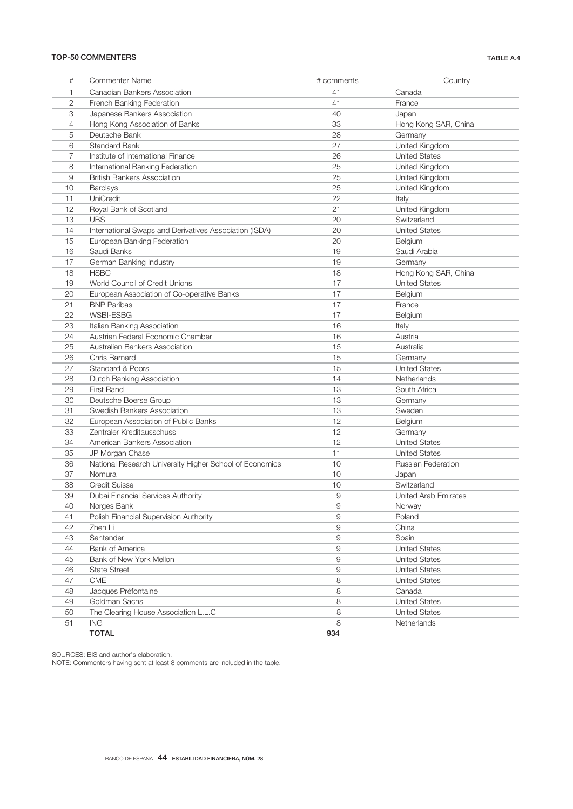## TOP-50 COMMENTERS TABLE A.4

| #              | <b>Commenter Name</b>                                   | # comments | Country                     |
|----------------|---------------------------------------------------------|------------|-----------------------------|
| 1              | Canadian Bankers Association                            | 41         | Canada                      |
| 2              | French Banking Federation                               | 41         | France                      |
| 3              | Japanese Bankers Association                            | 40         | Japan                       |
| $\overline{4}$ | Hong Kong Association of Banks                          | 33         | Hong Kong SAR, China        |
| 5              | Deutsche Bank                                           | 28         | Germany                     |
| 6              | <b>Standard Bank</b>                                    | 27         | United Kingdom              |
| 7              | Institute of International Finance                      | 26         | <b>United States</b>        |
| 8              | International Banking Federation                        | 25         | United Kingdom              |
| 9              | <b>British Bankers Association</b>                      | 25         | United Kingdom              |
| 10             | Barclays                                                | 25         | United Kingdom              |
| 11             | UniCredit                                               | 22         | Italy                       |
| 12             | Royal Bank of Scotland                                  | 21         | United Kingdom              |
| 13             | <b>UBS</b>                                              | 20         | Switzerland                 |
| 14             | International Swaps and Derivatives Association (ISDA)  | 20         | <b>United States</b>        |
| 15             | European Banking Federation                             | 20         | Belgium                     |
| 16             | Saudi Banks                                             | 19         | Saudi Arabia                |
| 17             | German Banking Industry                                 | 19         | Germany                     |
| 18             | <b>HSBC</b>                                             | 18         | Hong Kong SAR, China        |
| 19             | World Council of Credit Unions                          | 17         | <b>United States</b>        |
| 20             | European Association of Co-operative Banks              | 17         | Belgium                     |
| 21             | <b>BNP Paribas</b>                                      | 17         | France                      |
| 22             | WSBI-ESBG                                               | 17         |                             |
|                |                                                         |            | Belgium                     |
| 23             | Italian Banking Association                             | 16         | Italy                       |
| 24             | Austrian Federal Economic Chamber                       | 16         | Austria                     |
| 25             | Australian Bankers Association                          | 15         | Australia                   |
| 26             | Chris Barnard                                           | 15         | Germany                     |
| 27             | Standard & Poors                                        | 15         | <b>United States</b>        |
| 28             | Dutch Banking Association                               | 14         | Netherlands                 |
| 29             | First Rand                                              | 13         | South Africa                |
| 30             | Deutsche Boerse Group                                   | 13         | Germany                     |
| 31             | Swedish Bankers Association                             | 13         | Sweden                      |
| 32             | European Association of Public Banks                    | 12         | Belgium                     |
| 33             | Zentraler Kreditausschuss                               | 12         | Germany                     |
| 34             | American Bankers Association                            | 12         | <b>United States</b>        |
| 35             | JP Morgan Chase                                         | 11         | <b>United States</b>        |
| 36             | National Research University Higher School of Economics | 10         | Russian Federation          |
| 37             | Nomura                                                  | 10         | Japan                       |
| 38             | <b>Credit Suisse</b>                                    | 10         | Switzerland                 |
| 39             | Dubai Financial Services Authority                      | 9          | <b>United Arab Emirates</b> |
| 40             | Norges Bank                                             | 9          | Norway                      |
| 41             | Polish Financial Supervision Authority                  | 9          | Poland                      |
| 42             | Zhen Li                                                 | 9          | China                       |
| 43             | Santander                                               | 9          | Spain                       |
| 44             | <b>Bank of America</b>                                  | 9          | <b>United States</b>        |
| 45             | Bank of New York Mellon                                 | 9          | <b>United States</b>        |
| 46             | <b>State Street</b>                                     | 9          | <b>United States</b>        |
| 47             | <b>CME</b>                                              | 8          | <b>United States</b>        |
| 48             | Jacques Préfontaine                                     | 8          | Canada                      |
| 49             | Goldman Sachs                                           | 8          | <b>United States</b>        |
| 50             | The Clearing House Association L.L.C                    | 8          | <b>United States</b>        |
| 51             | <b>ING</b>                                              | 8          | Netherlands                 |
|                | <b>TOTAL</b>                                            | 934        |                             |

SOURCES: BIS and author's elaboration.

NOTE: Commenters having sent at least 8 comments are included in the table.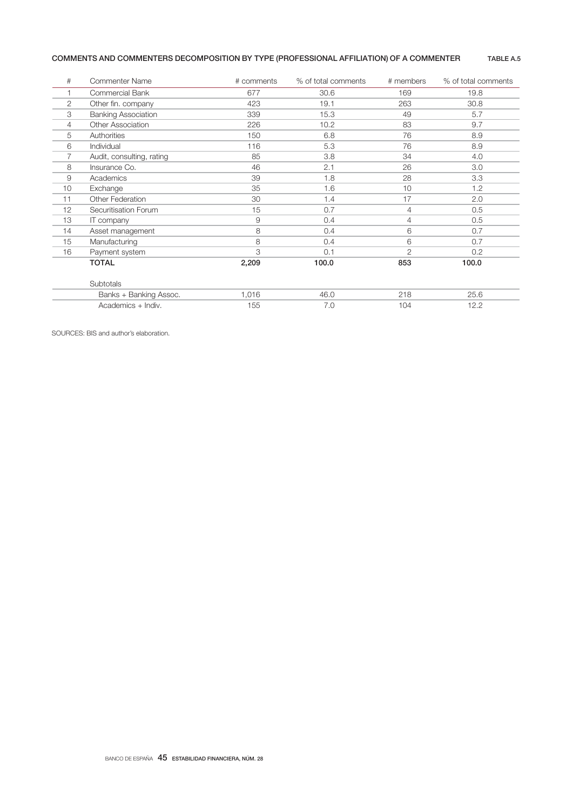# COMMENTS AND COMMENTERS DECOMPOSITION BY TYPE (PROFESSIONAL AFFILIATION) OF A COMMENTER TABLE A.5

| #                     | <b>Commenter Name</b>      | # comments | % of total comments | # members      | % of total comments |
|-----------------------|----------------------------|------------|---------------------|----------------|---------------------|
|                       | Commercial Bank            | 677        | 30.6                | 169            | 19.8                |
| $\mathbf{2}^{\prime}$ | Other fin. company         | 423        | 19.1                | 263            | 30.8                |
| З                     | <b>Banking Association</b> | 339        | 15.3                | 49             | 5.7                 |
| 4                     | <b>Other Association</b>   | 226        | 10.2                | 83             | 9.7                 |
| 5                     | Authorities                | 150        | 6.8                 | 76             | 8.9                 |
| 6                     | Individual                 | 116        | 5.3                 | 76             | 8.9                 |
| 7                     | Audit, consulting, rating  | 85         | 3.8                 | 34             | 4.0                 |
| 8                     | Insurance Co.              | 46         | 2.1                 | 26             | 3.0                 |
| 9                     | Academics                  | 39         | 1.8                 | 28             | 3.3                 |
| 10                    | Exchange                   | 35         | 1.6                 | 10             | 1.2                 |
| 11                    | <b>Other Federation</b>    | 30         | 1.4                 | 17             | 2.0                 |
| 12                    | Securitisation Forum       | 15         | 0.7                 | 4              | 0.5                 |
| 13                    | IT company                 | 9          | 0.4                 | $\overline{4}$ | 0.5                 |
| 14                    | Asset management           | 8          | 0.4                 | 6              | 0.7                 |
| 15                    | Manufacturing              | 8          | 0.4                 | 6              | 0.7                 |
| 16                    | Payment system             | 3          | 0.1                 | $\mathfrak{D}$ | 0.2                 |
|                       | <b>TOTAL</b>               | 2,209      | 100.0               | 853            | 100.0               |
|                       |                            |            |                     |                |                     |
|                       | Subtotals                  |            |                     |                |                     |
|                       | Banks + Banking Assoc.     | 1,016      | 46.0                | 218            | 25.6                |
|                       | Academics + Indiv.         | 155        | 7.0                 | 104            | 12.2                |

SOURCES: BIS and author's elaboration.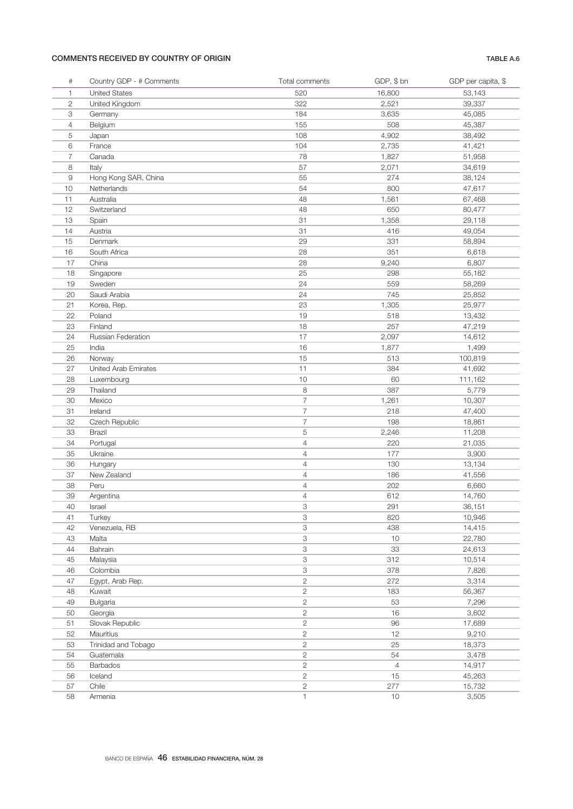# COMMENTS RECEIVED BY COUNTRY OF ORIGIN TABLE A.6

| $\#$           | Country GDP - # Comments | Total comments | GDP, \$ bn     | GDP per capita, \$ |
|----------------|--------------------------|----------------|----------------|--------------------|
| $\mathbf{1}$   | <b>United States</b>     | 520            | 16,800         | 53,143             |
| $\mathbf{2}$   | United Kingdom           | 322            | 2,521          | 39,337             |
| 3              | Germany                  | 184            | 3,635          | 45,085             |
| 4              | Belgium                  | 155            | 508            | 45,387             |
| 5              | Japan                    | 108            | 4,902          | 38,492             |
| 6              | France                   | 104            | 2,735          | 41,421             |
| $\overline{7}$ | Canada                   | 78             | 1,827          | 51,958             |
| 8              | Italy                    | 57             | 2,071          | 34,619             |
| $\hbox{9}$     | Hong Kong SAR, China     | 55             | 274            | 38,124             |
| 10             | Netherlands              | 54             | 800            | 47,617             |
| 11             | Australia                | 48             | 1,561          | 67,468             |
| 12             | Switzerland              | 48             | 650            | 80,477             |
| 13             | Spain                    | 31             | 1,358          | 29,118             |
| 14             | Austria                  | 31             | 416            | 49,054             |
| 15             | Denmark                  | 29             | 331            | 58,894             |
| 16             | South Africa             | 28             | 351            | 6,618              |
| 17             | China                    | 28             | 9,240          | 6,807              |
| 18             | Singapore                | 25             | 298            | 55,182             |
| 19             | Sweden                   | 24             | 559            | 58,269             |
| 20             | Saudi Arabia             | 24             | 745            | 25,852             |
| 21             | Korea, Rep.              | 23             | 1,305          | 25,977             |
| 22             | Poland                   | 19             | 518            | 13,432             |
| 23             | Finland                  | 18             | 257            | 47,219             |
| 24             | Russian Federation       | 17             | 2,097          | 14,612             |
| 25             | India                    | 16             | 1,877          | 1,499              |
| 26             | Norway                   | 15             | 513            | 100,819            |
| 27             | United Arab Emirates     | 11             | 384            | 41,692             |
| 28             | Luxembourg               | 10             | 60             | 111,162            |
| 29             | Thailand                 | 8              | 387            | 5,779              |
| 30             | Mexico                   | $\overline{7}$ | 1,261          | 10,307             |
| 31             | Ireland                  | $\overline{7}$ | 218            | 47,400             |
| 32             | Czech Republic           | $\overline{7}$ | 198            | 18,861             |
| 33             | Brazil                   | 5              | 2,246          | 11,208             |
| 34             | Portugal                 | $\overline{4}$ | 220            | 21,035             |
| 35             | Ukraine                  | 4              | 177            | 3,900              |
| 36             | Hungary                  | $\overline{4}$ | 130            | 13,134             |
| 37             | New Zealand              | $\overline{4}$ | 186            | 41,556             |
| 38             | Peru                     | $\overline{4}$ | 202            | 6,660              |
| 39             | Argentina                | $\overline{4}$ | 612            | 14,760             |
| 40             | Israel                   | 3              | 291            | 36,151             |
| 41             | Turkey                   | 3              | 820            | 10,946             |
| 42             | Venezuela, RB            | 3              | 438            | 14,415             |
| 43             | Malta                    | 3              | 10             | 22,780             |
| 44             | Bahrain                  | 3              | 33             | 24,613             |
| 45             | Malaysia                 | 3              | 312            | 10,514             |
| 46             | Colombia                 | 3              | 378            | 7,826              |
| 47             | Egypt, Arab Rep.         | $\overline{c}$ | 272            | 3,314              |
| 48             | Kuwait                   | $\overline{c}$ | 183            | 56,367             |
| 49             | Bulgaria                 | $\mathbf{2}$   | 53             | 7,296              |
| 50             | Georgia                  | 2              | 16             | 3,602              |
| 51             | Slovak Republic          | $\mathbf{2}$   | 96             | 17,689             |
| 52             | Mauritius                | $\overline{c}$ | 12             | 9,210              |
| 53             | Trinidad and Tobago      | $\sqrt{2}$     | 25             | 18,373             |
| 54             | Guatemala                | 2              | 54             | 3,478              |
| 55             | Barbados                 | 2              | $\overline{4}$ | 14,917             |
| 56             | Iceland                  | 2              | 15             | 45,263             |
| 57             | Chile                    | $\overline{c}$ | 277            | 15,732             |
| 58             | Armenia                  | 1              | $10$           | 3,505              |